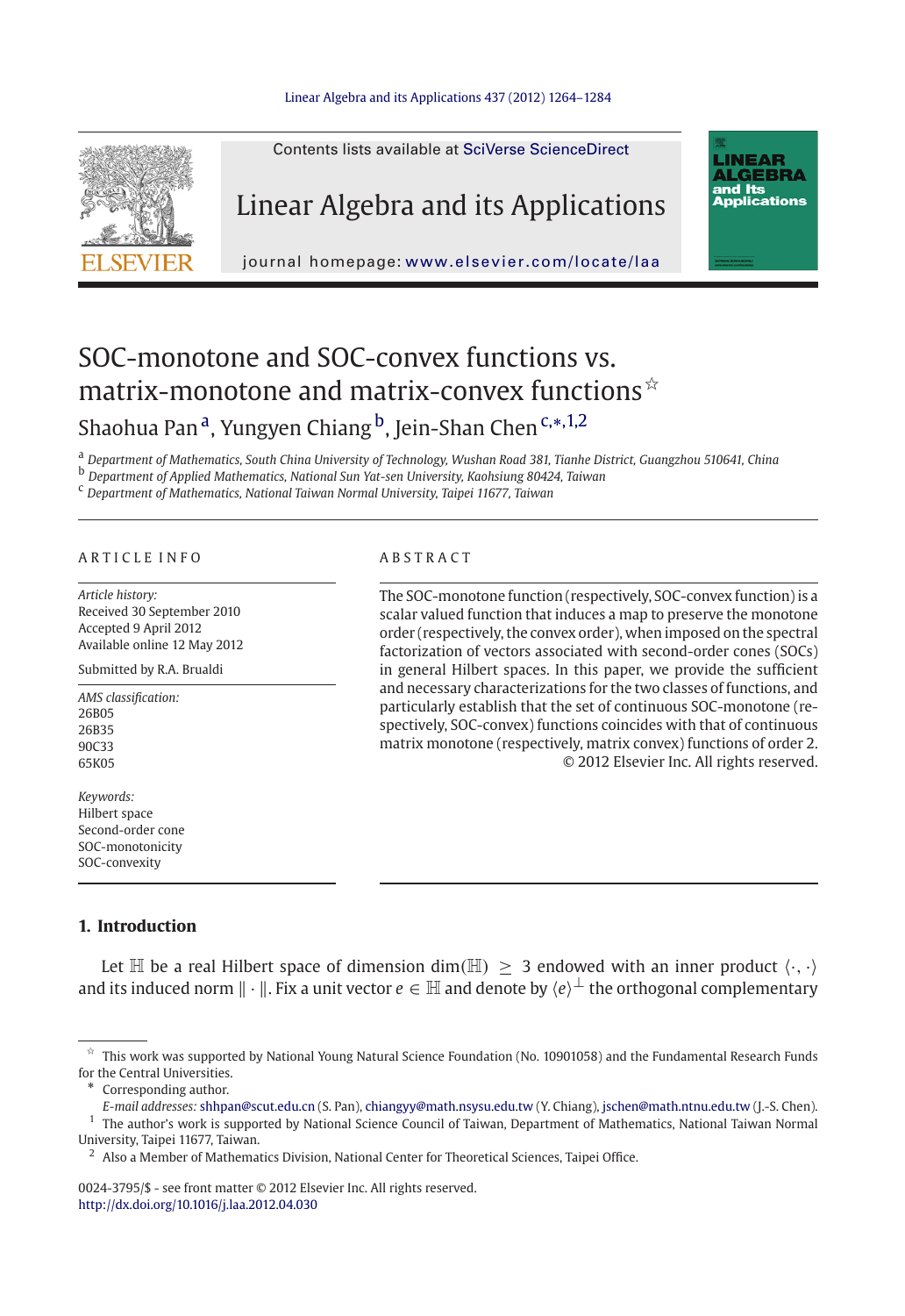

# SOC-monotone and SOC-convex functions vs. matrix-monotone and matrix-convex functions  $\dot{x}$ Shaohua Pan<sup>a</sup>, Yungyen Chiang <sup>b</sup>, Jein-Shan Chen<sup>c,∗,1,2</sup>

<sup>a</sup> *Department of Mathematics, South China University of Technology, Wushan Road 381, Tianhe District, Guangzhou 510641, China*

<sup>b</sup> *Department of Applied Mathematics, National Sun Yat-sen University, Kaohsiung 80424, Taiwan*

<sup>c</sup> *Department of Mathematics, National Taiwan Normal University, Taipei 11677, Taiwan*

# ARTICLE INFO ARSTRACT

*Article history:* Received 30 September 2010 Accepted 9 April 2012 Available online 12 May 2012

Submitted by R.A. Brualdi

*AMS classification:* 26B05 26B35 90C33 65K05

*Keywords:* Hilbert space Second-order cone SOC-monotonicity SOC-convexity

The SOC-monotone function (respectively, SOC-convex function) is a scalar valued function that induces a map to preserve the monotone order (respectively, the convex order), when imposed on the spectral factorization of vectors associated with second-order cones (SOCs) in general Hilbert spaces. In this paper, we provide the sufficient and necessary characterizations for the two classes of functions, and particularly establish that the set of continuous SOC-monotone (respectively, SOC-convex) functions coincides with that of continuous matrix monotone (respectively, matrix convex) functions of order 2. © 2012 Elsevier Inc. All rights reserved.

# <span id="page-0-0"></span>**1. Introduction**

Let  $\mathbb H$  be a real Hilbert space of dimension dim( $\mathbb H$ ) > 3 endowed with an inner product  $\langle \cdot, \cdot \rangle$ and its induced norm  $\|\cdot\|$ . Fix a unit vector  $e \in \mathbb{H}$  and denote by  $\langle e \rangle^{\perp}$  the orthogonal complementary

0024-3795/\$ - see front matter © 2012 Elsevier Inc. All rights reserved. <http://dx.doi.org/10.1016/j.laa.2012.04.030>

 $\pi$  This work was supported by National Young Natural Science Foundation (No. 10901058) and the Fundamental Research Funds for the Central Universities.

Corresponding author.

*E-mail addresses:* shhpan@scut.edu.cn (S. Pan), chiangyy@math.nsysu.edu.tw (Y. Chiang), jschen@math.ntnu.edu.tw (J.-S. Chen). <sup>1</sup> The author's work is supported by National Science Council of Taiwan, Department of Mathematics, National Taiwan Normal University, Taipei 11677, Taiwan.

<sup>&</sup>lt;sup>2</sup> Also a Member of Mathematics Division, National Center for Theoretical Sciences, Taipei Office.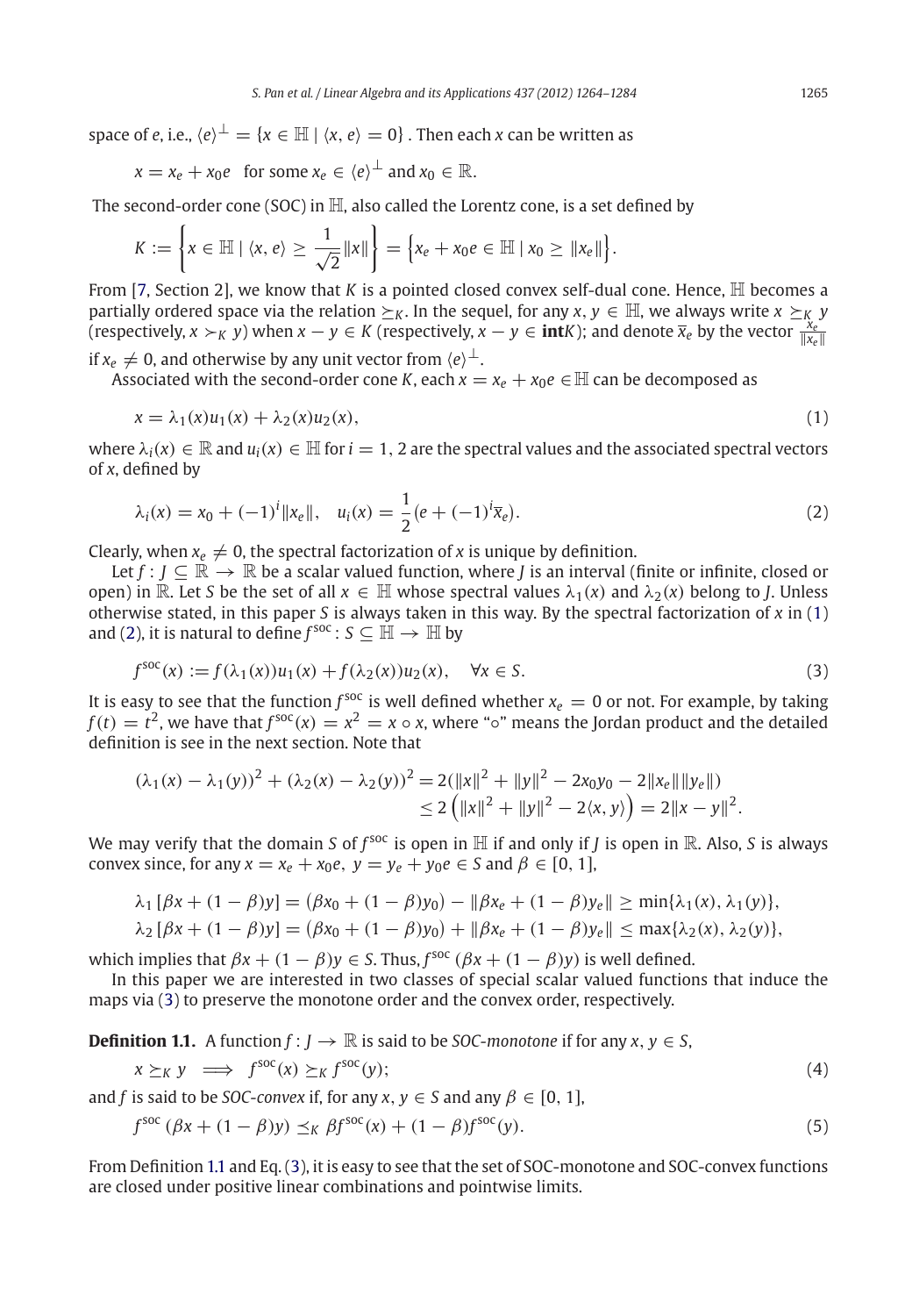space of *e*, i.e.,  $\langle e \rangle^{\perp} = \{x \in \mathbb{H} \mid \langle x, e \rangle = 0\}$ . Then each *x* can be written as

$$
x = x_e + x_0 e
$$
 for some  $x_e \in \langle e \rangle^{\perp}$  and  $x_0 \in \mathbb{R}$ .

The second-order cone (SOC) in  $\mathbb H$ , also called the Lorentz cone, is a set defined by

$$
K := \left\{ x \in \mathbb{H} \mid \langle x, e \rangle \ge \frac{1}{\sqrt{2}} \|x\| \right\} = \left\{ x_e + x_0 e \in \mathbb{H} \mid x_0 \ge \|x_e\| \right\}.
$$

From [\[7,](#page-20-0) Section 2], we know that *K* is a pointed closed convex self-dual cone. Hence,  $\mathbb{H}$  becomes a partially ordered space via the relation  $\succeq_K$ . In the sequel, for any *x*,  $y \in \mathbb{H}$ , we always write  $x \succeq_K y$  $\overline{X}$  *(respectively,*  $x \succ_K y$ *)* when  $x - y \in K$  (respectively,  $x - y \in \textbf{int}K$ ); and denote  $\overline{x}_e$  by the vector  $\frac{x_e}{\|x_e\|}$ 

if  $x_e \neq 0$ , and otherwise by any unit vector from  $\langle e \rangle^{\perp}$ .

Associated with the second-order cone *K*, each  $x = x_e + x_0e \in \mathbb{H}$  can be decomposed as

$$
x = \lambda_1(x)u_1(x) + \lambda_2(x)u_2(x),\tag{1}
$$

where  $\lambda_i(x) \in \mathbb{R}$  and  $u_i(x) \in \mathbb{H}$  for  $i = 1, 2$  are the spectral values and the associated spectral vectors of *x*, defined by

$$
\lambda_i(x) = x_0 + (-1)^i \|x_e\|, \quad u_i(x) = \frac{1}{2} (e + (-1)^i \overline{x}_e).
$$
 (2)

Clearly, when  $x_e \neq 0$ , the spectral factorization of *x* is unique by definition.

Let  $f: J \subseteq \mathbb{R} \to \mathbb{R}$  be a scalar valued function, where *J* is an interval (finite or infinite, closed or open) in R. Let *S* be the set of all  $x \in \mathbb{H}$  whose spectral values  $\lambda_1(x)$  and  $\lambda_2(x)$  belong to *J*. Unless otherwise stated, in this paper *S* is always taken in this way. By the spectral factorization of *x* in [\(1\)](#page-0-0) and [\(2\)](#page-0-0), it is natural to define  $f^{\text{soc}}$  :  $S \subseteq \overline{H} \to \overline{H}$  by

$$
f^{\text{soc}}(x) := f(\lambda_1(x))u_1(x) + f(\lambda_2(x))u_2(x), \quad \forall x \in S.
$$
 (3)

It is easy to see that the function  $f^{soc}$  is well defined whether  $x_e = 0$  or not. For example, by taking  $f(t) = t^2$ , we have that  $f^{\text{soc}}(x) = x^2 = x \circ x$ , where "◦" means the Jordan product and the detailed definition is see in the next section. Note that

$$
(\lambda_1(x) - \lambda_1(y))^2 + (\lambda_2(x) - \lambda_2(y))^2 = 2(||x||^2 + ||y||^2 - 2x_0y_0 - 2||x_e|| ||y_e||)
$$
  
\n
$$
\leq 2 (||x||^2 + ||y||^2 - 2\langle x, y \rangle) = 2||x - y||^2.
$$

We may verify that the domain *S* of  $f^{soc}$  is open in  $\mathbb H$  if and only if *J* is open in  $\mathbb R$ . Also, *S* is always convex since, for any  $x = x_e + x_0e$ ,  $y = y_e + y_0e \in S$  and  $\beta \in [0, 1]$ ,

$$
\lambda_1 [\beta x + (1 - \beta)y] = (\beta x_0 + (1 - \beta)y_0) - ||\beta x_e + (1 - \beta)y_e|| \ge \min{\lambda_1(x), \lambda_1(y)},
$$

$$
\lambda_2 [\beta x + (1 - \beta)y] = (\beta x_0 + (1 - \beta)y_0) + ||\beta x_e + (1 - \beta)y_e|| \le \max{\lambda_2(x), \lambda_2(y)},
$$

which implies that  $\beta x + (1 - \beta)y \in S$ . Thus,  $f^{\text{soc}}(\beta x + (1 - \beta)y)$  is well defined.

<span id="page-1-0"></span>In this paper we are interested in two classes of special scalar valued functions that induce the maps via [\(3\)](#page-0-0) to preserve the monotone order and the convex order, respectively.

**Definition 1.1.** A function  $f: J \to \mathbb{R}$  is said to be *SOC-monotone* if for any  $x, y \in S$ ,

$$
x \succeq_K y \implies f^{\text{soc}}(x) \succeq_K f^{\text{soc}}(y); \tag{4}
$$

and *f* is said to be *SOC-convex* if, for any  $x, y \in S$  and any  $\beta \in [0, 1]$ ,

$$
f^{\text{soc}}\left(\beta x + (1 - \beta)y\right) \preceq_K \beta f^{\text{soc}}(x) + (1 - \beta)f^{\text{soc}}(y). \tag{5}
$$

From Definition [1.1](#page-1-0) and Eq. [\(3\)](#page-0-0), it is easy to see that the set of SOC-monotone and SOC-convex functions are closed under positive linear combinations and pointwise limits.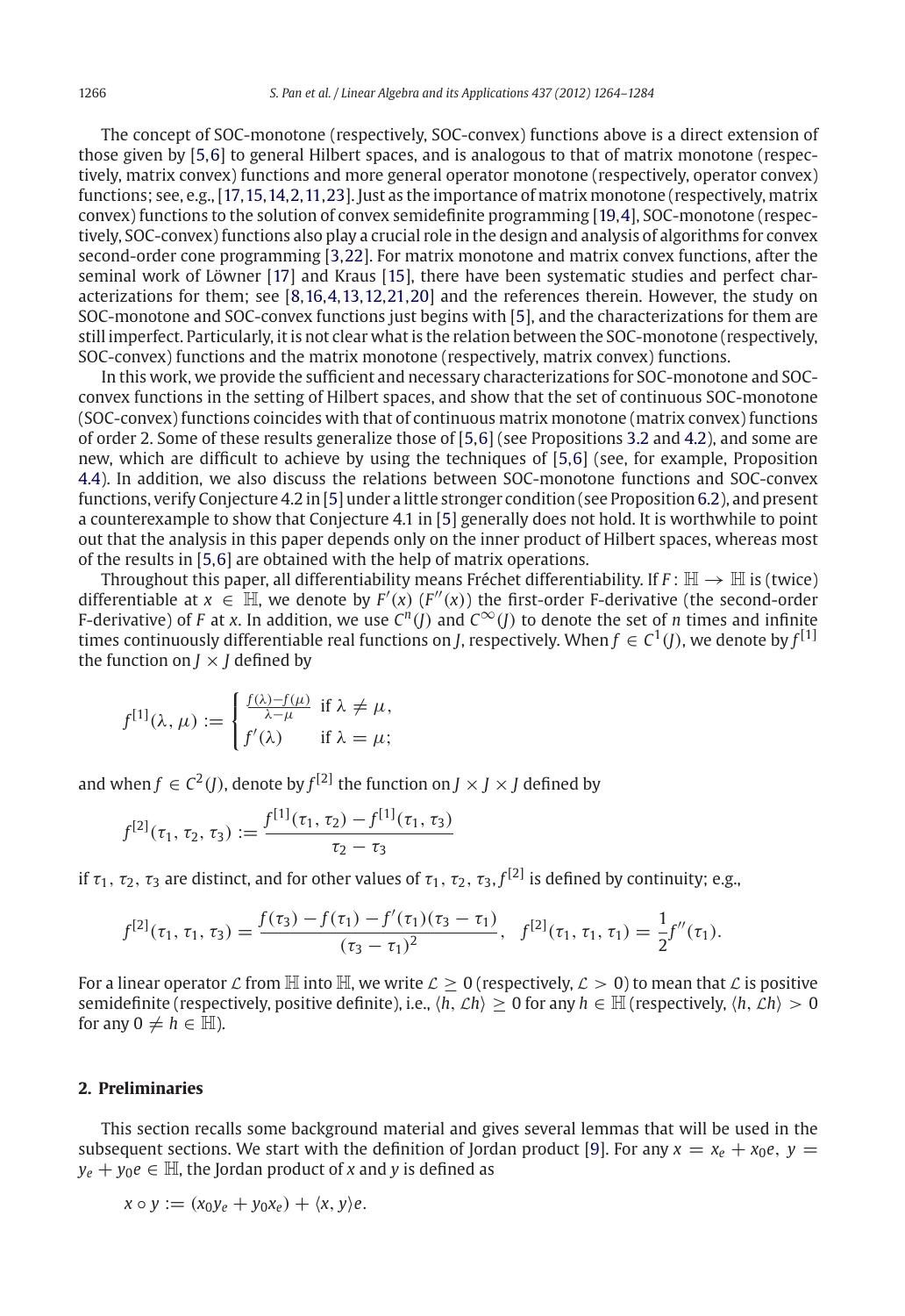The concept of SOC-monotone (respectively, SOC-convex) functions above is a direct extension of those given by [\[5](#page-20-1)[,6\]](#page-20-2) to general Hilbert spaces, and is analogous to that of matrix monotone (respectively, matrix convex) functions and more general operator monotone (respectively, operator convex) functions; see, e.g., [\[17](#page-20-3)[,15](#page-20-4),[14](#page-20-5)[,2](#page-20-6),[11](#page-20-7)[,23\]](#page-20-8). Just as the importance of matrix monotone (respectively, matrix convex) functions to the solution of convex semidefinite programming [\[19,](#page-20-9)[4\]](#page-20-10), SOC-monotone (respectively, SOC-convex) functions also play a crucial role in the design and analysis of algorithms for convex second-order cone programming [\[3](#page-20-11)[,22\]](#page-20-12). For matrix monotone and matrix convex functions, after the seminal work of Löwner [\[17\]](#page-20-3) and Kraus [\[15\]](#page-20-4), there have been systematic studies and perfect characterizations for them; see [\[8](#page-20-13)[,16,](#page-20-14)[4](#page-20-10)[,13](#page-20-15),[12](#page-20-16)[,21](#page-20-17)[,20\]](#page-20-18) and the references therein. However, the study on SOC-monotone and SOC-convex functions just begins with [\[5\]](#page-20-1), and the characterizations for them are still imperfect. Particularly, it is not clear what is the relation between the SOC-monotone (respectively, SOC-convex) functions and the matrix monotone (respectively, matrix convex) functions.

In this work, we provide the sufficient and necessary characterizations for SOC-monotone and SOCconvex functions in the setting of Hilbert spaces, and show that the set of continuous SOC-monotone (SOC-convex) functions coincides with that of continuous matrix monotone (matrix convex) functions of order 2. Some of these results generalize those of [\[5,](#page-20-1)[6](#page-20-2)] (see Propositions [3.2](#page-7-0) and [4.2\)](#page-12-0), and some are new, which are difficult to achieve by using the techniques of [\[5](#page-20-1)[,6](#page-20-2)] (see, for example, Proposition [4.4\)](#page-15-0). In addition, we also discuss the relations between SOC-monotone functions and SOC-convex functions, verify Conjecture 4.2 in [\[5\]](#page-20-1) under a little stronger condition (see Proposition [6.2\)](#page-18-0), and present a counterexample to show that Conjecture 4.1 in [\[5](#page-20-1)] generally does not hold. It is worthwhile to point out that the analysis in this paper depends only on the inner product of Hilbert spaces, whereas most of the results in [\[5](#page-20-1)[,6\]](#page-20-2) are obtained with the help of matrix operations.

Throughout this paper, all differentiability means Fréchet differentiability. If  $F: \mathbb{H} \to \mathbb{H}$  is (twice) differentiable at  $x \in \mathbb{H}$ , we denote by  $F'(x)$  ( $F''(x)$ ) the first-order F-derivative (the second-order F-derivative) of *F* at *x*. In addition, we use  $C^n(f)$  and  $C^\infty(f)$  to denote the set of *n* times and infinite times continuously differentiable real functions on *J*, respectively. When  $f \in C^1(J)$ , we denote by  $f^{[1]}$ the function on  $J \times J$  defined by

$$
f^{[1]}(\lambda, \mu) := \begin{cases} \frac{f(\lambda) - f(\mu)}{\lambda - \mu} & \text{if } \lambda \neq \mu, \\ f'(\lambda) & \text{if } \lambda = \mu; \end{cases}
$$

and when  $f \in C^2(I)$ , denote by  $f^{[2]}$  the function on  $J \times J \times J$  defined by

$$
f^{[2]}(\tau_1, \tau_2, \tau_3) := \frac{f^{[1]}(\tau_1, \tau_2) - f^{[1]}(\tau_1, \tau_3)}{\tau_2 - \tau_3}
$$

if  $\tau_1$ ,  $\tau_2$ ,  $\tau_3$  are distinct, and for other values of  $\tau_1$ ,  $\tau_2$ ,  $\tau_3$ ,  $f^{[2]}$  is defined by continuity; e.g.,

$$
f^{[2]}(\tau_1, \tau_1, \tau_3) = \frac{f(\tau_3) - f(\tau_1) - f'(\tau_1)(\tau_3 - \tau_1)}{(\tau_3 - \tau_1)^2}, \quad f^{[2]}(\tau_1, \tau_1, \tau_1) = \frac{1}{2}f''(\tau_1).
$$

For a linear operator  $\mathcal L$  from  $\mathbb H$  into  $\mathbb H$ , we write  $\mathcal L \geq 0$  (respectively,  $\mathcal L > 0$ ) to mean that  $\mathcal L$  is positive semidefinite (respectively, positive definite), i.e.,  $\langle h, \mathcal{L}h \rangle > 0$  for any  $h \in \mathbb{H}$  (respectively,  $\langle h, \mathcal{L}h \rangle > 0$ for any  $0 \neq h \in \mathbb{H}$ ).

#### **2. Preliminaries**

This section recalls some background material and gives several lemmas that will be used in the subsequent sections. We start with the definition of Jordan product [\[9](#page-20-19)]. For any  $x = x_e + x_0e$ ,  $y =$  $y_e + y_0e \in \mathbb{H}$ , the Jordan product of *x* and *y* is defined as

$$
x \circ y := (x_0 y_e + y_0 x_e) + \langle x, y \rangle e.
$$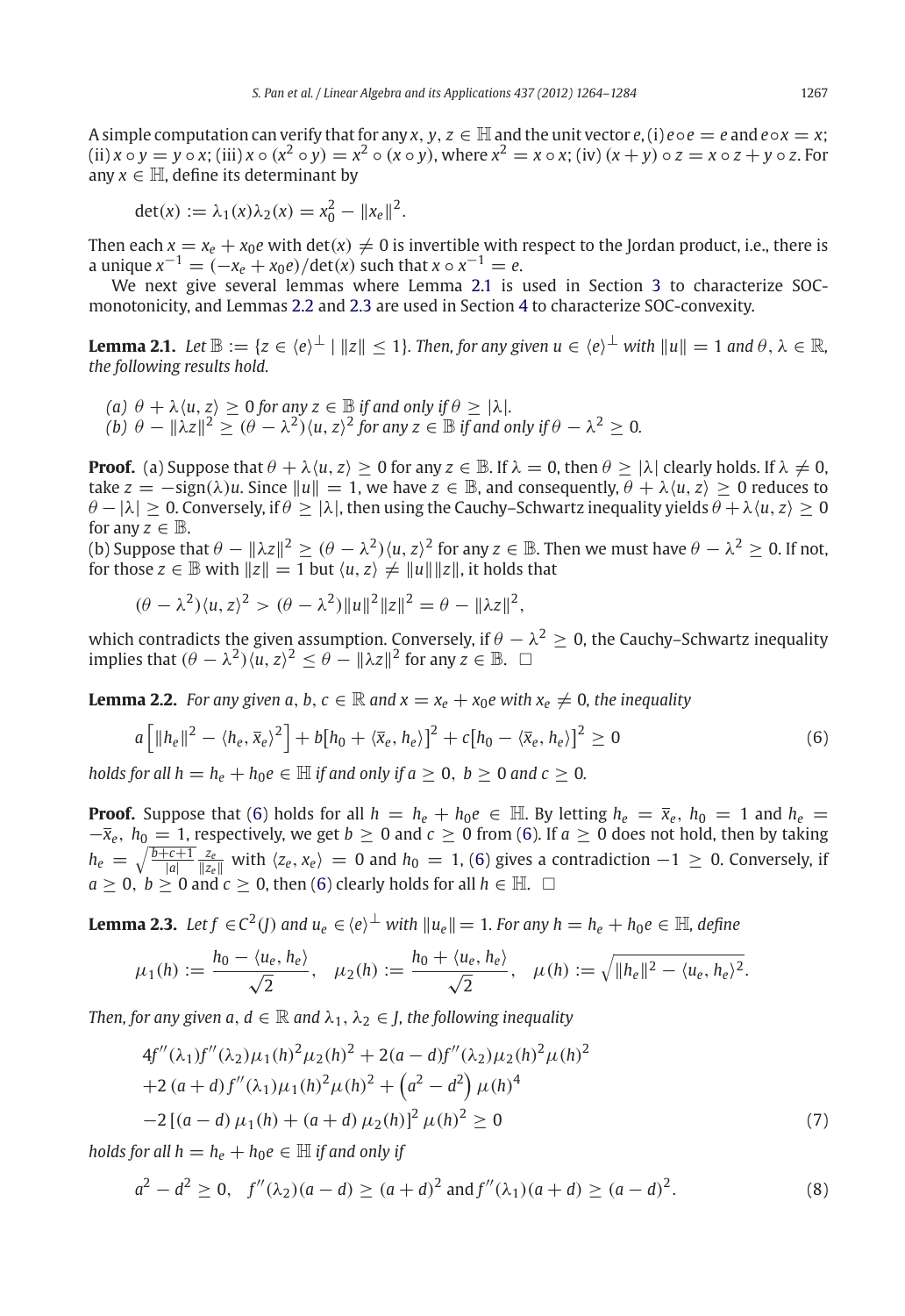A simple computation can verify that for any  $x, y, z \in \mathbb{H}$  and the unit vector  $e$ , (i)  $e \circ e = e$  and  $e \circ x = x$ ; (ii)  $x \circ y = y \circ x$ ; (iii)  $x \circ (x^2 \circ y) = x^2 \circ (x \circ y)$ , where  $x^2 = x \circ x$ ; (iv)  $(x + y) \circ z = x \circ z + y \circ z$ . For any  $x \in \mathbb{H}$ , define its determinant by

$$
det(x) := \lambda_1(x)\lambda_2(x) = x_0^2 - ||x_e||^2.
$$

Then each  $x = x_e + x_0e$  with det( $x \ne 0$  is invertible with respect to the Jordan product, i.e., there is a unique  $x^{-1} = (-x_e + x_0e)/\text{det}(x)$  such that  $x \circ x^{-1} = e$ .

<span id="page-3-0"></span>We next give several lemmas where Lemma [2.1](#page-3-0) is used in Section [3](#page-4-0) to characterize SOCmonotonicity, and Lemmas [2.2](#page-3-1) and [2.3](#page-3-2) are used in Section [4](#page-9-0) to characterize SOC-convexity.

**Lemma 2.1.** *Let*  $\mathbb{B} := \{z \in \langle e \rangle^{\perp} | ||z|| < 1\}$ . Then, for any given  $u \in \langle e \rangle^{\perp}$  with  $||u|| = 1$  and  $\theta, \lambda \in \mathbb{R}$ , *the following results hold.*

*(a)*  $\theta + \lambda \langle u, z \rangle \ge 0$  *for any*  $z \in \mathbb{B}$  *if and only if*  $\theta \ge |\lambda|$ *. (b)*  $\theta - ||\lambda z||^2 \geq (\theta - \lambda^2)(u, z)^2$  for any  $z \in \mathbb{B}$  if and only if  $\theta - \lambda^2 \geq 0$ .

**Proof.** (a) Suppose that  $\theta + \lambda \langle u, z \rangle > 0$  for any  $z \in \mathbb{B}$ . If  $\lambda = 0$ , then  $\theta > |\lambda|$  clearly holds. If  $\lambda \neq 0$ , take  $z = -\text{sign}(\lambda)u$ . Since  $||u|| = 1$ , we have  $z \in \mathbb{B}$ , and consequently,  $\theta + \lambda \langle u, z \rangle > 0$  reduces to  $\theta - |\lambda| \geq 0$ . Conversely, if  $\theta \geq |\lambda|$ , then using the Cauchy–Schwartz inequality yields  $\theta + \lambda \langle u, z \rangle \geq 0$ for any  $z \in \mathbb{B}$ .

(b) Suppose that  $\theta - ||\lambda z||^2 \ge (\theta - \lambda^2) \langle u, z \rangle^2$  for any  $z \in \mathbb{B}$ . Then we must have  $\theta - \lambda^2 \ge 0$ . If not, for those  $z \in \mathbb{B}$  with  $||z|| = 1$  but  $\langle u, z \rangle \neq ||u|| ||z||$ , it holds that

$$
(\theta - \lambda^2) \langle u, z \rangle^2 > (\theta - \lambda^2) \|u\|^2 \|z\|^2 = \theta - \|\lambda z\|^2,
$$

which contradicts the given assumption. Conversely, if  $\theta - \lambda^2 \ge 0$ , the Cauchy–Schwartz inequality implies that  $(\theta - \lambda^2)\langle u, z \rangle^2 \leq \theta - ||\lambda z||^2$  for any  $z \in \mathbb{B}$ .  $\Box$ 

<span id="page-3-1"></span>**Lemma 2.2.** *For any given a, b, c*  $\in \mathbb{R}$  *and x* =  $x_e + x_0e$  with  $x_e \neq 0$ *, the inequality* 

$$
a\left[\|h_e\|^2 - \langle h_e, \overline{x}_e \rangle^2\right] + b\left[h_0 + \langle \overline{x}_e, h_e \rangle\right]^2 + c\left[h_0 - \langle \overline{x}_e, h_e \rangle\right]^2 \ge 0
$$
\n
$$
(6)
$$

*holds for all h* =  $h_e + h_0e \in \mathbb{H}$  *if and only if a*  $\geq 0$ , *b*  $\geq 0$  *and c*  $\geq 0$ .

**Proof.** Suppose that [\(6\)](#page-3-1) holds for all  $h = h_e + h_0e \in \mathbb{H}$ . By letting  $h_e = \overline{x}_e$ ,  $h_0 = 1$  and  $h_e =$  $-\bar{x}_e$ ,  $h_0 = 1$ , respectively, we get  $b \ge 0$  and  $c \ge 0$  from [\(6\)](#page-3-1). If  $a \ge 0$  does not hold, then by taking  $h_e = \sqrt{\frac{b+c+1}{|a|}} \frac{z_e}{\|z_e\|}$  with  $\langle z_e, x_e \rangle = 0$  and  $h_0 = 1$ , [\(6\)](#page-3-1) gives a contradiction  $-1 \ge 0$ . Conversely, if  $a \geq 0, b \geq 0$  and  $c \geq 0$ , then [\(6\)](#page-3-1) clearly holds for all  $h \in \mathbb{H}$ .  $\Box$ 

<span id="page-3-2"></span>**Lemma 2.3.** *Let*  $f \in C^2(I)$  *and*  $u_e \in \langle e \rangle^\perp$  *with*  $||u_e|| = 1$ *. For any*  $h = h_e + h_0e \in \mathbb{H}$ *, define* 

$$
\mu_1(h) := \frac{h_0 - \langle u_e, h_e \rangle}{\sqrt{2}}, \quad \mu_2(h) := \frac{h_0 + \langle u_e, h_e \rangle}{\sqrt{2}}, \quad \mu(h) := \sqrt{\|h_e\|^2 - \langle u_e, h_e \rangle^2}.
$$

*Then, for any given a,*  $d \in \mathbb{R}$  *and*  $\lambda_1, \lambda_2 \in I$ , the following inequality

$$
4f''(\lambda_1)f''(\lambda_2)\mu_1(h)^2\mu_2(h)^2 + 2(a-d)f''(\lambda_2)\mu_2(h)^2\mu(h)^2
$$
  
+2(a+d)f''(\lambda\_1)\mu\_1(h)^2\mu(h)^2 + (a^2-d^2)\mu(h)^4  
-2[(a-d)\mu\_1(h) + (a+d)\mu\_2(h)]^2\mu(h)^2 \ge 0 (7)

*holds for all h* =  $h_e + h_0e \in \mathbb{H}$  *if and only if* 

$$
a^2 - d^2 \ge 0, \quad f''(\lambda_2)(a - d) \ge (a + d)^2 \text{ and } f''(\lambda_1)(a + d) \ge (a - d)^2. \tag{8}
$$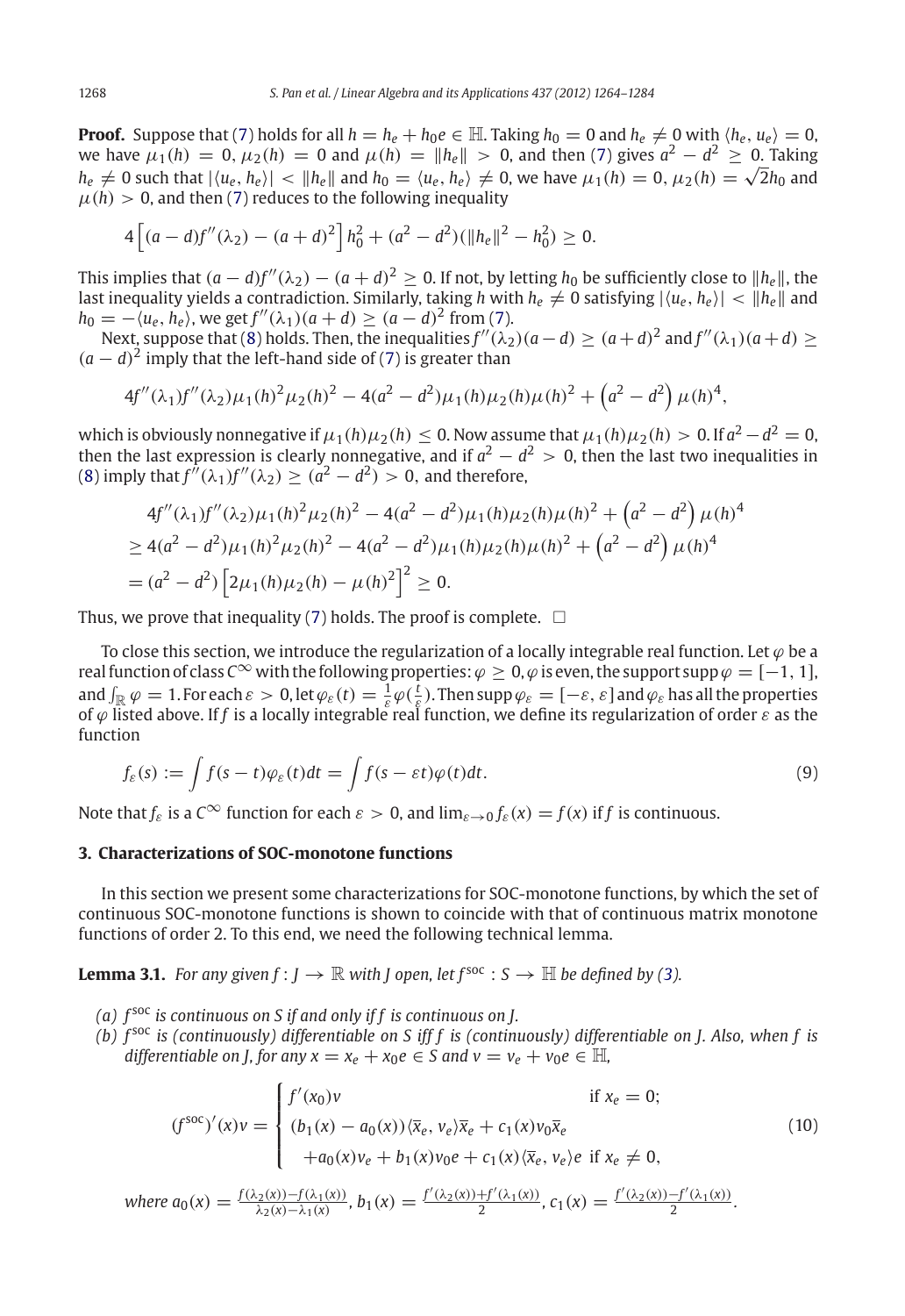**Proof.** Suppose that [\(7\)](#page-3-2) holds for all  $h = h_e + h_0e \in \mathbb{H}$ . Taking  $h_0 = 0$  and  $h_e \neq 0$  with  $\langle h_e, u_e \rangle = 0$ , we have  $\mu_1(h) = 0$ ,  $\mu_2(h) = 0$  and  $\mu(h) = ||h_e|| > 0$ , and then [\(7\)](#page-3-2) gives  $a^2 - d^2 \ge 0$ . Taking  $h_e \neq 0$  such that  $|\langle u_e, h_e \rangle| < ||h_e||$  and  $h_0 = \langle u_e, h_e \rangle \neq 0$ , we have  $\mu_1(h) = 0$ ,  $\mu_2(h) = \sqrt{2}h_0$  and  $\mu(h) > 0$ , and then [\(7\)](#page-3-2) reduces to the following inequality

$$
4\left[ (a-d)f''(\lambda_2) - (a+d)^2 \right]h_0^2 + (a^2 - d^2)(\|h_e\|^2 - h_0^2) \ge 0.
$$

This implies that  $(a-d)f''(\lambda_2) - (a+d)^2 \ge 0$ . If not, by letting  $h_0$  be sufficiently close to  $||h_e||$ , the last inequality yields a contradiction. Similarly, taking  $h$  with  $h_e\neq 0$  satisfying  $|\langle u_e,h_e\rangle|<\|h_e\|$  and *h*<sub>0</sub> =  $-(u_e, h_e)$ , we get  $f''(\lambda_1)(a + d) \ge (a - d)^2$  from [\(7\)](#page-3-2).

Next, suppose that [\(8\)](#page-3-2) holds. Then, the inequalities  $f''(\lambda_2)(a-d) \ge (a+d)^2$  and  $f''(\lambda_1)(a+d) \ge$  $(a-d)^2$  imply that the left-hand side of [\(7\)](#page-3-2) is greater than

$$
4f''(\lambda_1)f''(\lambda_2)\mu_1(h)^2\mu_2(h)^2-4(a^2-d^2)\mu_1(h)\mu_2(h)\mu(h)^2+\left(a^2-d^2\right)\mu(h)^4,
$$

which is obviously nonnegative if  $\mu_1(h)\mu_2(h) \leq 0$ . Now assume that  $\mu_1(h)\mu_2(h) > 0$ . If  $a^2 - d^2 = 0$ , then the last expression is clearly nonnegative, and if  $a^2 - d^2 > 0$ , then the last two inequalities in [\(8\)](#page-3-2) imply that  $f''(\lambda_1)f''(\lambda_2) \ge (a^2 - d^2) > 0$ , and therefore,

$$
4f''(\lambda_1)f''(\lambda_2)\mu_1(h)^2\mu_2(h)^2 - 4(a^2 - d^2)\mu_1(h)\mu_2(h)\mu(h)^2 + (a^2 - d^2)\mu(h)^4
$$
  
\n
$$
\geq 4(a^2 - d^2)\mu_1(h)^2\mu_2(h)^2 - 4(a^2 - d^2)\mu_1(h)\mu_2(h)\mu(h)^2 + (a^2 - d^2)\mu(h)^4
$$
  
\n
$$
= (a^2 - d^2)\left[2\mu_1(h)\mu_2(h) - \mu(h)^2\right]^2 \geq 0.
$$

Thus, we prove that inequality [\(7\)](#page-3-2) holds. The proof is complete.  $\;\;\Box$ 

To close this section, we introduce the regularization of a locally integrable real function. Let  $\varphi$  be a real function of class  $C^{\infty}$  with the following properties:  $\varphi > 0$ ,  $\varphi$  is even, the support supp  $\varphi = [-1, 1]$ , and  $\int_{\mathbb{R}} \varphi = 1$ . For each  $\varepsilon > 0$ , let  $\varphi_{\varepsilon}(t) = \frac{1}{\varepsilon} \varphi(\frac{t}{\varepsilon})$ . Then supp  $\varphi_{\varepsilon} = [-\varepsilon, \varepsilon]$  and  $\varphi_{\varepsilon}$  has all the properties of ϕ listed above. If *f* is a locally integrable real function, we define its regularization of order ε as the function

$$
f_{\varepsilon}(s) := \int f(s-t)\varphi_{\varepsilon}(t)dt = \int f(s-\varepsilon t)\varphi(t)dt.
$$
\n(9)

Note that  $f_{\varepsilon}$  is a  $C^{\infty}$  function for each  $\varepsilon > 0$ , and  $\lim_{\varepsilon \to 0} f_{\varepsilon}(x) = f(x)$  if f is continuous.

# <span id="page-4-0"></span>**3. Characterizations of SOC-monotone functions**

In this section we present some characterizations for SOC-monotone functions, by which the set of continuous SOC-monotone functions is shown to coincide with that of continuous matrix monotone functions of order 2. To this end, we need the following technical lemma.

<span id="page-4-2"></span>**Lemma 3.1.** *For any given*  $f: I \to \mathbb{R}$  *with I* open, let  $f^{\text{soc}}: S \to \mathbb{H}$  *be defined by* [\(3\)](#page-0-0)*.* 

- *(a) f* soc *is continuous on S if and only if f is continuous on J.*
- *(b) f* soc *is (continuously) differentiable on S iff f is (continuously) differentiable on J. Also, when f is differentiable on J, for any*  $x = x_e + x_0e \in S$  and  $v = v_e + v_0e \in \mathbb{H}$ ,

<span id="page-4-1"></span>
$$
(f^{\text{soc}})'(x)v = \begin{cases} f'(x_0)v & \text{if } x_e = 0; \\ (b_1(x) - a_0(x))\langle \overline{x}_e, v_e \rangle \overline{x}_e + c_1(x)v_0 \overline{x}_e \\ + a_0(x)v_e + b_1(x)v_0 e + c_1(x)\langle \overline{x}_e, v_e \rangle e & \text{if } x_e \neq 0, \end{cases}
$$
(10)

where 
$$
a_0(x) = \frac{f(\lambda_2(x)) - f(\lambda_1(x))}{\lambda_2(x) - \lambda_1(x)}
$$
,  $b_1(x) = \frac{f'(\lambda_2(x)) + f'(\lambda_1(x))}{2}$ ,  $c_1(x) = \frac{f'(\lambda_2(x)) - f'(\lambda_1(x))}{2}$ .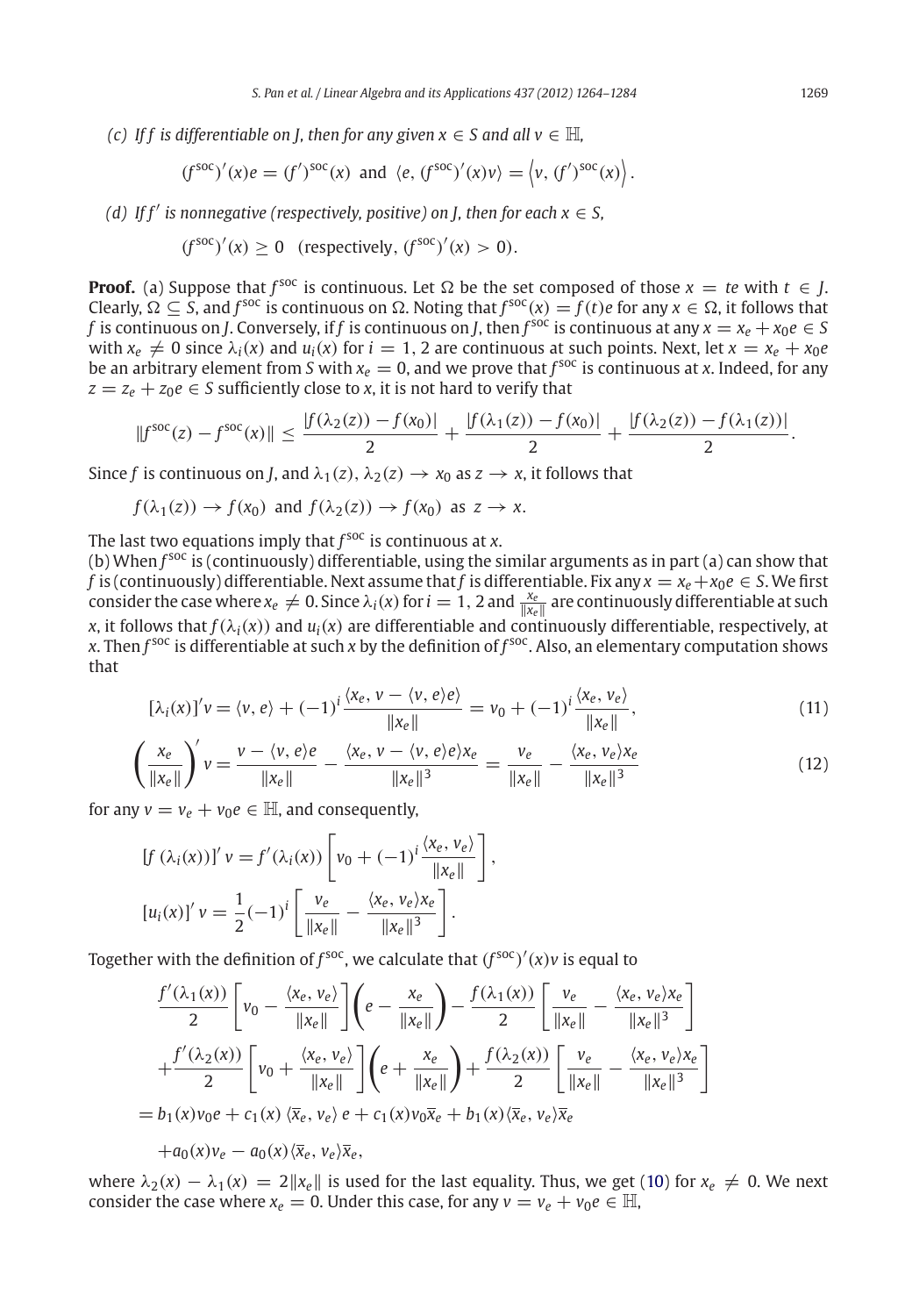*(c)* If f is differentiable on *J, then for any given*  $x \in S$  and all  $v \in \mathbb{H}$ ,

$$
(f^{\text{soc}})'(x)e = (f')^{\text{soc}}(x)
$$
 and  $\langle e, (f^{\text{soc}})'(x)v \rangle = \langle v, (f')^{\text{soc}}(x) \rangle$ .

*(d)* If  $f'$  is nonnegative (respectively, positive) on *J*, then for each  $x \in S$ ,

$$
(f^{soc})'(x) \ge 0 \quad \text{(respectively, } (f^{soc})'(x) > 0\text{)}.
$$

**Proof.** (a) Suppose that  $f^{\text{soc}}$  is continuous. Let  $\Omega$  be the set composed of those  $x = te$  with  $t \in J$ . Clearly,  $\Omega \subseteq S$ , and  $f^{\text{soc}}$  is continuous on  $\Omega$ . Noting that  $f^{\text{soc}}(x) = f(t)e$  for any  $x \in \Omega$ , it follows that *f* is continuous on *J*. Conversely, if *f* is continuous on *J*, then  $f^{soc}$  is continuous at any  $x = x_e + x_0e \in S$ with  $x_e \neq 0$  since  $\lambda_i(x)$  and  $u_i(x)$  for  $i = 1, 2$  are continuous at such points. Next, let  $x = x_e + x_0e$ be an arbitrary element from *S* with  $x_e = 0$ , and we prove that  $f^{\text{soc}}$  is continuous at *x*. Indeed, for any  $z = z_e + z_0e \in S$  sufficiently close to *x*, it is not hard to verify that

$$
||f^{\text{soc}}(z) - f^{\text{soc}}(x)|| \le \frac{|f(\lambda_2(z)) - f(x_0)|}{2} + \frac{|f(\lambda_1(z)) - f(x_0)|}{2} + \frac{|f(\lambda_2(z)) - f(\lambda_1(z))|}{2}.
$$

Since *f* is continuous on *J*, and  $\lambda_1(z)$ ,  $\lambda_2(z) \rightarrow x_0$  as  $z \rightarrow x$ , it follows that

$$
f(\lambda_1(z)) \to f(x_0)
$$
 and  $f(\lambda_2(z)) \to f(x_0)$  as  $z \to x$ .

The last two equations imply that *f*<sup>soc</sup> is continuous at *x*.

(b) When  $f^{\text{soc}}$  is (continuously) differentiable, using the similar arguments as in part (a) can show that *f* is (continuously) differentiable. Next assume that *f* is differentiable. Fix any  $x = x_e + x_0e \in S$ . We first consider the case where  $x_e\neq 0$ . Since  $\lambda_i(x)$  for  $i=1,2$  and  $\frac{x_e}{\|x_e\|}$  are continuously differentiable at such *x*, it follows that  $f(\lambda_i(x))$  and  $u_i(x)$  are differentiable and continuously differentiable, respectively, at *x*. Then *f* soc is differentiable at such *x* by the definition of *f* soc. Also, an elementary computation shows that

$$
[\lambda_i(x)]'v = \langle v, e \rangle + (-1)^i \frac{\langle x_e, v - \langle v, e \rangle e \rangle}{\|x_e\|} = v_0 + (-1)^i \frac{\langle x_e, v_e \rangle}{\|x_e\|},\tag{11}
$$

$$
\left(\frac{x_e}{\|x_e\|}\right)'v = \frac{v - \langle v, e \rangle e}{\|x_e\|} - \frac{\langle x_e, v - \langle v, e \rangle e \rangle x_e}{\|x_e\|^3} = \frac{v_e}{\|x_e\|} - \frac{\langle x_e, v_e \rangle x_e}{\|x_e\|^3}
$$
(12)

for any  $v = v_e + v_0 e \in \mathbb{H}$ , and consequently,

$$
[f(\lambda_i(x))]'v = f'(\lambda_i(x)) \left[ v_0 + (-1)^i \frac{\langle x_e, v_e \rangle}{\|x_e\|} \right],
$$
  

$$
[u_i(x)]'v = \frac{1}{2}(-1)^i \left[ \frac{v_e}{\|x_e\|} - \frac{\langle x_e, v_e \rangle x_e}{\|x_e\|^3} \right].
$$

Together with the definition of  $f^{\text{soc}}$ , we calculate that  $(f^{\text{soc}})'(x)v$  is equal to

$$
\frac{f'(\lambda_1(x))}{2} \left[v_0 - \frac{\langle x_e, v_e \rangle}{\|x_e\|} \right] \left(e - \frac{x_e}{\|x_e\|} \right) - \frac{f(\lambda_1(x))}{2} \left[\frac{v_e}{\|x_e\|} - \frac{\langle x_e, v_e \rangle x_e}{\|x_e\|^3} \right]
$$

$$
+ \frac{f'(\lambda_2(x))}{2} \left[v_0 + \frac{\langle x_e, v_e \rangle}{\|x_e\|} \right] \left(e + \frac{x_e}{\|x_e\|} \right) + \frac{f(\lambda_2(x))}{2} \left[\frac{v_e}{\|x_e\|} - \frac{\langle x_e, v_e \rangle x_e}{\|x_e\|^3} \right]
$$

$$
= b_1(x)v_0e + c_1(x) \langle \overline{x}_e, v_e \rangle e + c_1(x)v_0 \overline{x}_e + b_1(x) \langle \overline{x}_e, v_e \rangle \overline{x}_e
$$

 $+ a_0(x)v_e - a_0(x)\langle \overline{x}_e, v_e \rangle \overline{x}_e,$ 

where  $\lambda_2(x) - \lambda_1(x) = 2||x_e||$  is used for the last equality. Thus, we get [\(10\)](#page-4-1) for  $x_e \neq 0$ . We next consider the case where  $x_e = 0$ . Under this case, for any  $v = v_e + v_0 e \in \mathbb{H}$ ,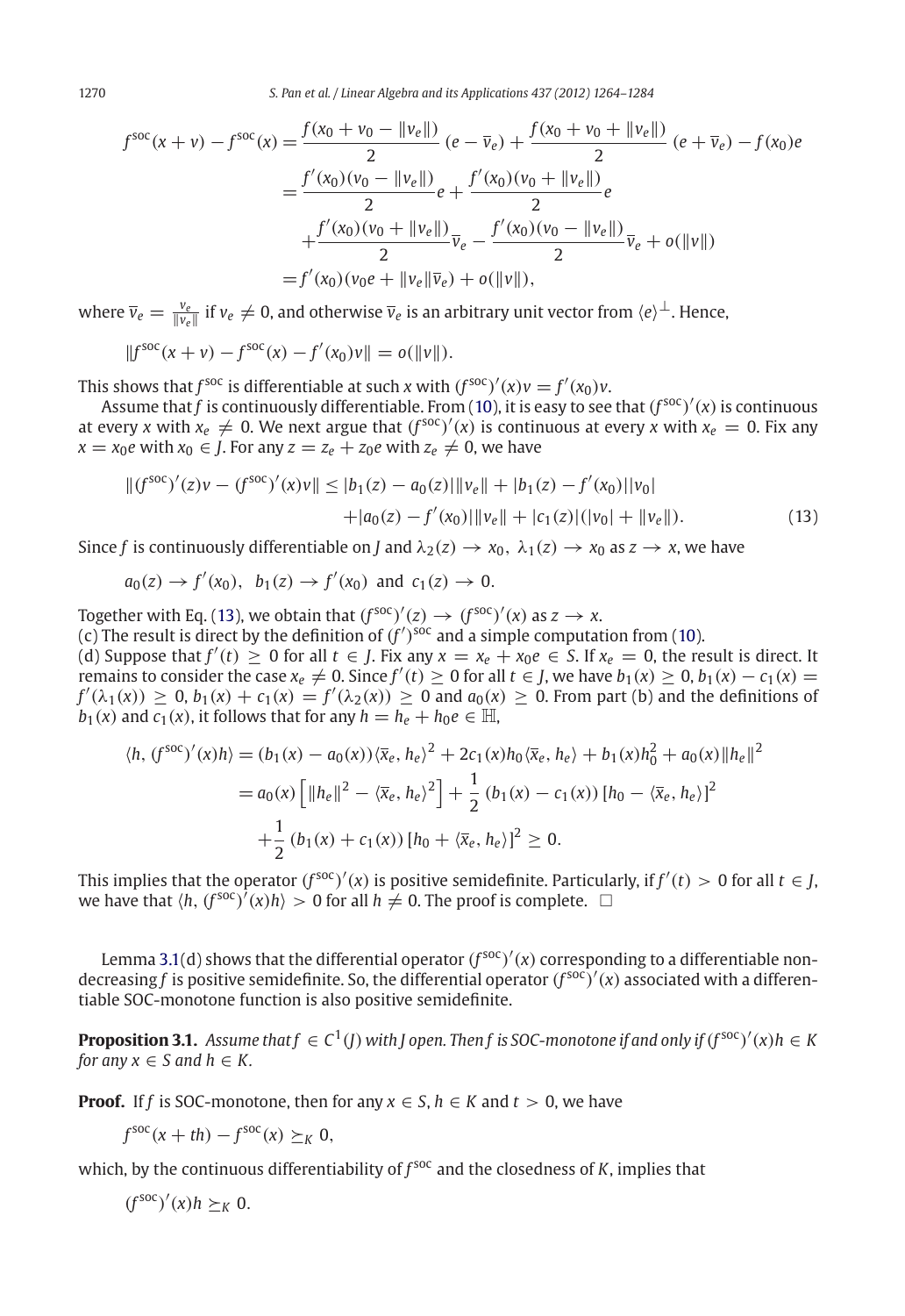1270 *S. Pan et al. / Linear Algebra and its Applications 437 (2012) 1264–1284*

$$
f^{\text{soc}}(x+v) - f^{\text{soc}}(x) = \frac{f(x_0 + v_0 - ||v_e||)}{2} (e - \overline{v}_e) + \frac{f(x_0 + v_0 + ||v_e||)}{2} (e + \overline{v}_e) - f(x_0)e
$$
  
= 
$$
\frac{f'(x_0)(v_0 - ||v_e||)}{2} e + \frac{f'(x_0)(v_0 + ||v_e||)}{2} e
$$
  
+ 
$$
\frac{f'(x_0)(v_0 + ||v_e||)}{2} \overline{v}_e - \frac{f'(x_0)(v_0 - ||v_e||)}{2} \overline{v}_e + o(||v||)
$$
  
= 
$$
f'(x_0)(v_0 e + ||v_e|| \overline{v}_e) + o(||v||),
$$

where  $\overline{v}_e=\frac{v_e}{\|v_e\|}$  if  $v_e\neq 0$ , and otherwise  $\overline{v}_e$  is an arbitrary unit vector from  $\langle e\rangle^\perp.$  Hence,

$$
||fsoc(x + v) - fsoc(x) - f'(x0)v|| = o(||v||).
$$

This shows that *f*<sup>soc</sup> is differentiable at such *x* with  $(f^{\text{soc}})'(x)v = f'(x_0)v$ .

Assume that f is continuously differentiable. From [\(10\)](#page-4-1), it is easy to see that  $(f^{soc})'(x)$  is continuous at every *x* with  $x_e \neq 0$ . We next argue that  $(f^{\text{soc}})'(x)$  is continuous at every *x* with  $x_e = 0$ . Fix any *x* = *x*<sup>0</sup>*e* with *x*<sup>0</sup> ∈ *J*. For any *z* = *z*<sup> $e$ </sup> + *z*<sup>0</sup>*e* with *z*<sup> $e$ </sup> ≠ 0, we have

$$
||(f^{\text{soc}})'(z)v - (f^{\text{soc}})'(x)v|| \le |b_1(z) - a_0(z)| ||v_e|| + |b_1(z) - f'(x_0)||v_0|
$$
  
 
$$
+ |a_0(z) - f'(x_0)||v_e|| + |c_1(z)|(|v_0| + ||v_e||).
$$
 (13)

Since *f* is continuously differentiable on *J* and  $\lambda_2(z) \to x_0$ ,  $\lambda_1(z) \to x_0$  as  $z \to x$ , we have

$$
a_0(z) \to f'(x_0)
$$
,  $b_1(z) \to f'(x_0)$  and  $c_1(z) \to 0$ .

Together with Eq. [\(13\)](#page-4-1), we obtain that  $(f^{\text{soc}})'(z) \to (f^{\text{soc}})'(x)$  as  $z \to x$ .

(c) The result is direct by the definition of  $(f')$ <sup>soc</sup> and a simple computation from [\(10\)](#page-4-1).

 $f'(t)$  Suppose that  $f'(t) \ge 0$  for all  $t \in J$ . Fix any  $x = x_e + x_0e \in S$ . If  $x_e = 0$ , the result is direct. It  $\lim_{x \to a} \frac{d}{dx}$  for consider the case  $x_e \neq 0$ . Since  $f'(t) \geq 0$  for all  $t \in J$ , we have  $b_1(x) \geq 0$ ,  $b_1(x) - c_1(x) = 0$  $f'(\lambda_1(x)) \geq 0$ ,  $b_1(x) + c_1(x) = f'(\lambda_2(x)) \geq 0$  and  $a_0(x) \geq 0$ . From part (b) and the definitions of *b*<sub>1</sub>(*x*) and *c*<sub>1</sub>(*x*), it follows that for any  $h = h_e + h_0 e \in \mathbb{H}$ ,

$$
\langle h, (f^{\text{soc}})'(x)h \rangle = (b_1(x) - a_0(x)) \langle \bar{x}_e, h_e \rangle^2 + 2c_1(x)h_0 \langle \bar{x}_e, h_e \rangle + b_1(x)h_0^2 + a_0(x) \|h_e\|^2
$$
  
=  $a_0(x) \left[ \|h_e\|^2 - \langle \bar{x}_e, h_e \rangle^2 \right] + \frac{1}{2} (b_1(x) - c_1(x)) [h_0 - \langle \bar{x}_e, h_e \rangle]^2$   
+  $\frac{1}{2} (b_1(x) + c_1(x)) [h_0 + \langle \bar{x}_e, h_e \rangle]^2 \ge 0.$ 

This implies that the operator  $(f^{\text{soc}})'(x)$  is positive semidefinite. Particularly, if  $f'(t) > 0$  for all  $t \in J$ , we have that  $\langle h, (f^{\text{soc}})^{\hat{}}(x)h \rangle > 0$  for all  $h \neq 0$ . The proof is complete.  $\Box$ 

Lemma [3.1\(](#page-4-2)d) shows that the differential operator  $(f^{\text{soc}})'(x)$  corresponding to a differentiable nondecreasing *<sup>f</sup>* is positive semidefinite. So, the differential operator (*<sup>f</sup>* soc) (*x*) associated with a differentiable SOC-monotone function is also positive semidefinite.

<span id="page-6-0"></span>**Proposition 3.1.** Assume that  $f \in C^1(J)$  with J open. Then  $f$  is SOC-monotone if and only if  $(f^{\text{soc}})'(x)h \in K$ *for any*  $x \in S$  *and*  $h \in K$ .

**Proof.** If *f* is SOC-monotone, then for any  $x \in S$ ,  $h \in K$  and  $t > 0$ , we have

$$
f^{\text{soc}}(x+th)-f^{\text{soc}}(x)\succeq_K 0,
$$

which, by the continuous differentiability of  $f^{soc}$  and the closedness of  $K$ , implies that

 $(f^{\text{soc}})'(x)h \succeq_K 0.$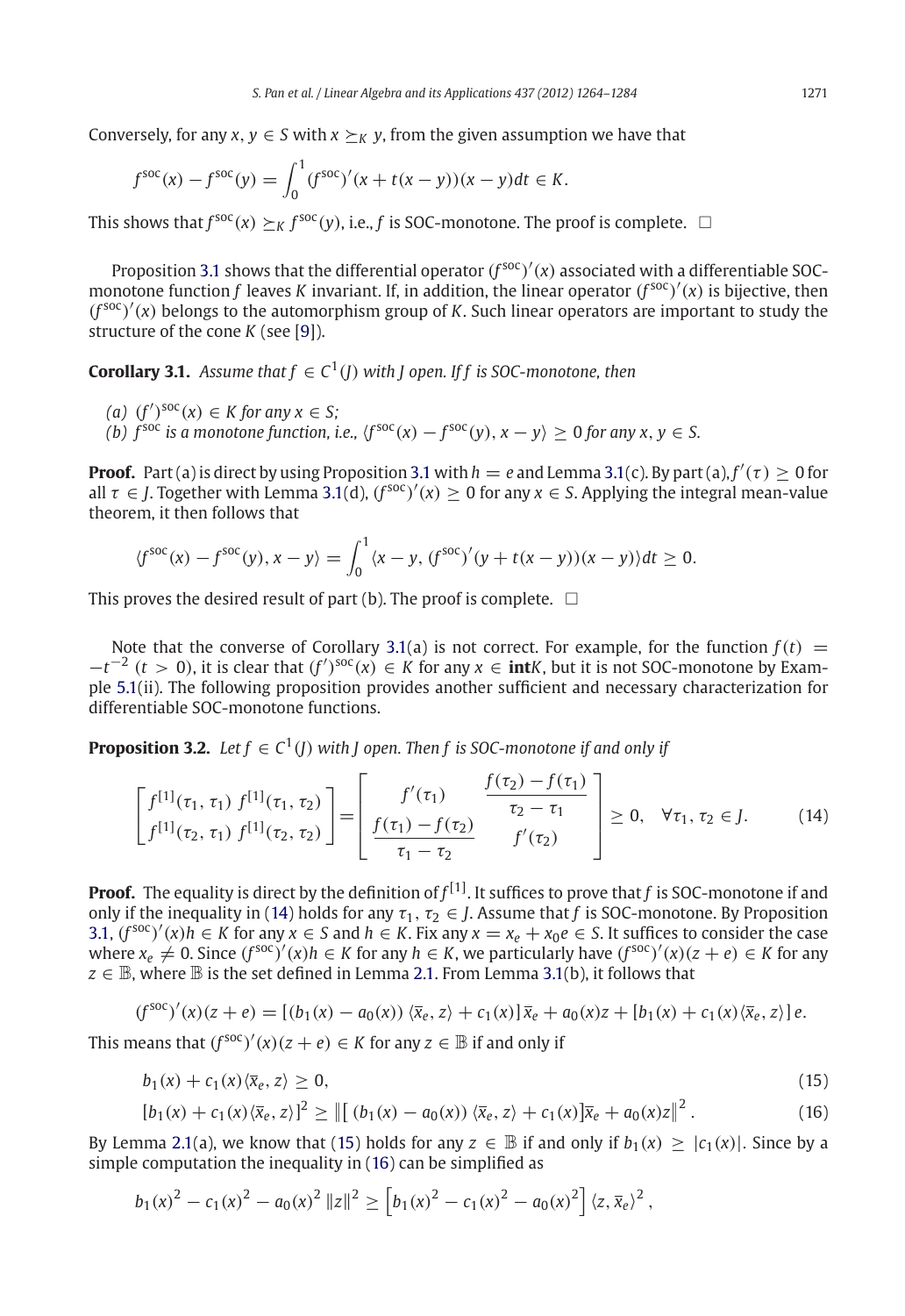Conversely, for any  $x, y \in S$  with  $x \succ_K y$ , from the given assumption we have that

$$
f^{\text{soc}}(x) - f^{\text{soc}}(y) = \int_0^1 (f^{\text{soc}})'(x + t(x - y))(x - y) dt \in K.
$$

This shows that  $f^{\text{soc}}(x) \succeq_K f^{\text{soc}}(y)$ , i.e., *f* is SOC-monotone. The proof is complete.  $\Box$ 

Proposition [3.1](#page-6-0) shows that the differential operator  $(f^{\text{soc}})'(x)$  associated with a differentiable SOCmonotone function  $f$  leaves  $K$  invariant. If, in addition, the linear operator  $(f^{\text{soc}})'(x)$  is bijective, then (*<sup>f</sup>* soc) (*x*) belongs to the automorphism group of *K*. Such linear operators are important to study the structure of the cone *K* (see [\[9](#page-20-19)]).

<span id="page-7-1"></span>**Corollary 3.1.** *Assume that*  $f \in C^1(I)$  *with I* open. If *f* is SOC-monotone, then

- $(a)$   $(f')^{soc}(x) \in K$  for any  $x \in S$ ;
- *(b)*  $f^{\text{soc}}$  *is a monotone function, i.e.,*  $\langle f^{\text{soc}}(x) f^{\text{soc}}(y), x y \rangle > 0$  *for any x, y* ∈ *S.*

**Proof.** Part (a) is direct by using Proposition [3.1](#page-6-0) with  $h = e$  and Lemma [3.1\(](#page-4-2)c). By part (a),  $f'(\tau) \ge 0$  for all  $\tau \in J$ . Together with Lemma [3.1\(](#page-4-2)d),  $(f^{\text{soc}})'(x) \ge 0$  for any  $x \in S$ . Applying the integral mean-value theorem, it then follows that

$$
\langle f^{\text{soc}}(x) - f^{\text{soc}}(y), x - y \rangle = \int_0^1 \langle x - y, (f^{\text{soc}})'(y + t(x - y))(x - y) \rangle dt \ge 0.
$$

This proves the desired result of part (b). The proof is complete.  $\;\;\Box$ 

Note that the converse of Corollary [3.1\(](#page-7-1)a) is not correct. For example, for the function  $f(t)$  =  $-t^{-2}$  (*t* > 0), it is clear that  $(f')^{soc}(x) \in K$  for any  $x \in \text{int}K$ , but it is not SOC-monotone by Example [5.1\(](#page-16-0)ii). The following proposition provides another sufficient and necessary characterization for differentiable SOC-monotone functions.

<span id="page-7-0"></span>**Proposition 3.2.** *Let*  $f \in C^1(I)$  *with I* open. Then *f* is SOC-monotone if and only if

<span id="page-7-2"></span>
$$
\begin{bmatrix} f^{[1]}(\tau_1, \tau_1) f^{[1]}(\tau_1, \tau_2) \\ f^{[1]}(\tau_2, \tau_1) f^{[1]}(\tau_2, \tau_2) \end{bmatrix} = \begin{bmatrix} f'(\tau_1) & \frac{f(\tau_2) - f(\tau_1)}{\tau_2 - \tau_1} \\ \frac{f(\tau_1) - f(\tau_2)}{\tau_1 - \tau_2} & f'(\tau_2) \end{bmatrix} \ge 0, \quad \forall \tau_1, \tau_2 \in J. \tag{14}
$$

**Proof.** The equality is direct by the definition of *f* [1] . It suffices to prove that *f* is SOC-monotone if and only if the inequality in [\(14\)](#page-7-2) holds for any  $\tau_1$ ,  $\tau_2 \in J$ . Assume that *f* is SOC-monotone. By Proposition [3.1,](#page-6-0)  $(f^{soc})'(x)h$  ∈ *K* for any  $x \in S$  and  $h \in K$ . Fix any  $x = x_e + x_0e$  ∈ *S*. It suffices to consider the case  $\alpha e \neq 0$ . Since  $(f^{\text{soc}})'(x)h \in K$  for any  $h \in K$ , we particularly have  $(f^{\text{soc}})'(x)(z+e) \in K$  for any  $z \in \mathbb{B}$ , where  $\mathbb B$  is the set defined in Lemma [2.1.](#page-3-0) From Lemma [3.1\(](#page-4-2)b), it follows that

$$
(f^{SOC})'(x)(z+e) = [(b_1(x) - a_0(x)) \langle \overline{x}_e, z \rangle + c_1(x)] \overline{x}_e + a_0(x)z + [b_1(x) + c_1(x) \langle \overline{x}_e, z \rangle]e.
$$

This means that  $(f^{\text{soc}})'(x)(z + e) \in K$  for any  $z \in \mathbb{B}$  if and only if

$$
b_1(x) + c_1(x)\langle \overline{x}_e, z \rangle \ge 0, \tag{15}
$$

$$
[b_1(x) + c_1(x)(\bar{x}_e, z)]^2 \ge ||[(b_1(x) - a_0(x))(\bar{x}_e, z) + c_1(x)]\bar{x}_e + a_0(x)z||^2.
$$
 (16)

By Lemma [2.1\(](#page-3-0)a), we know that [\(15\)](#page-7-2) holds for any  $z \in \mathbb{B}$  if and only if  $b_1(x) > |c_1(x)|$ . Since by a simple computation the inequality in [\(16\)](#page-7-2) can be simplified as

$$
b_1(x)^2 - c_1(x)^2 - a_0(x)^2 \|z\|^2 \ge \left[b_1(x)^2 - c_1(x)^2 - a_0(x)^2\right] \langle z, \overline{x}_e \rangle^2,
$$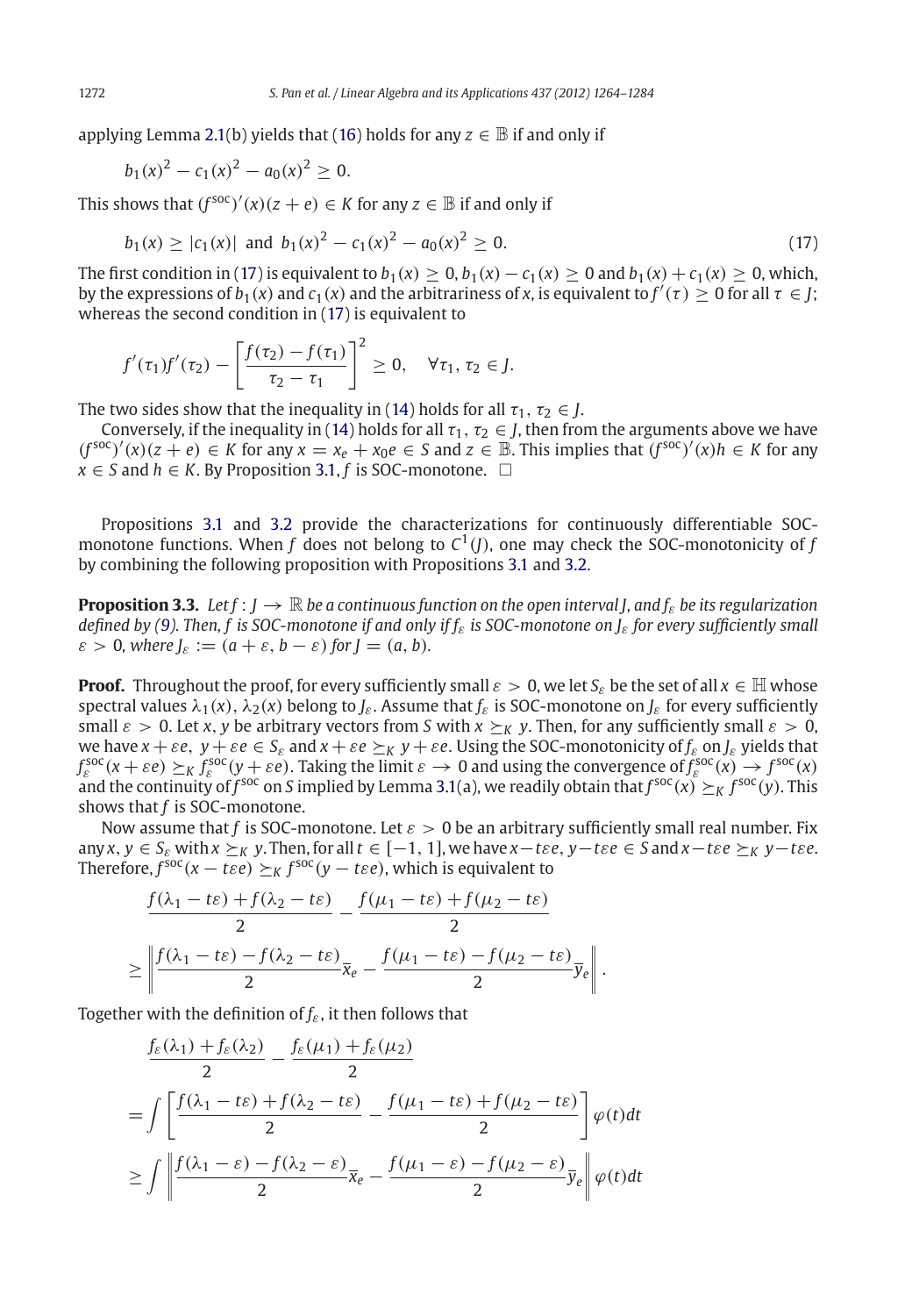applying Lemma [2.1\(](#page-3-0)b) yields that [\(16\)](#page-7-2) holds for any  $z \in \mathbb{B}$  if and only if

$$
b_1(x)^2 - c_1(x)^2 - a_0(x)^2 \ge 0.
$$

This shows that  $(f^{\text{soc}})'(x)(z + e) \in K$  for any  $z \in \mathbb{B}$  if and only if

$$
b_1(x) \ge |c_1(x)| \text{ and } b_1(x)^2 - c_1(x)^2 - a_0(x)^2 \ge 0. \tag{17}
$$

The first condition in [\(17\)](#page-7-2) is equivalent to  $b_1(x) \ge 0$ ,  $b_1(x) - c_1(x) \ge 0$  and  $b_1(x) + c_1(x) \ge 0$ , which, by the expressions of  $b_1(x)$  and  $c_1(x)$  and the arbitrariness of *x*, is equivalent to  $f'(t) \ge 0$  for all  $t \in J$ ; whereas the second condition in [\(17\)](#page-7-2) is equivalent to

$$
f'(\tau_1)f'(\tau_2) - \left[\frac{f(\tau_2) - f(\tau_1)}{\tau_2 - \tau_1}\right]^2 \geq 0, \quad \forall \tau_1, \tau_2 \in J.
$$

The two sides show that the inequality in [\(14\)](#page-7-2) holds for all  $\tau_1, \tau_2 \in J$ .

Conversely, if the inequality in [\(14\)](#page-7-2) holds for all  $\tau_1$ ,  $\tau_2 \in J$ , then from the arguments above we have  $(f^{\text{soc}})'(x)(z + e) \in K$  for any  $x = x_e + x_0e \in S$  and  $z \in \mathbb{B}$ . This implies that  $(f^{\text{soc}})'(x)h \in K$  for any  $x \in S$  and  $h \in K$ . By Proposition [3.1,](#page-6-0) *f* is SOC-monotone.  $\Box$ 

Propositions [3.1](#page-6-0) and [3.2](#page-7-0) provide the characterizations for continuously differentiable SOCmonotone functions. When *f* does not belong to  $C^1$  (*J*), one may check the SOC-monotonicity of *f* by combining the following proposition with Propositions [3.1](#page-6-0) and [3.2.](#page-7-0)

<span id="page-8-0"></span>**Proposition 3.3.** Let  $f : I \to \mathbb{R}$  be a continuous function on the open interval *I*, and *f*<sub>c</sub> be its regularization *defined by [\(9\)](#page-3-2). Then, f is SOC-monotone if and only if f*ε *is SOC-monotone on J*ε *for every sufficiently small*  $\varepsilon > 0$ , where  $J_{\varepsilon} := (a + \varepsilon, b - \varepsilon)$  for  $J = (a, b)$ .

**Proof.** Throughout the proof, for every sufficiently small  $\varepsilon > 0$ , we let  $S_{\varepsilon}$  be the set of all  $x \in \mathbb{H}$  whose spectral values  $\lambda_1(x)$ ,  $\lambda_2(x)$  belong to *J<sub>ε</sub>*. Assume that  $f_{\varepsilon}$  is SOC-monotone on  $J_{\varepsilon}$  for every sufficiently small  $\varepsilon > 0$ . Let x, y be arbitrary vectors from *S* with  $x \succ_K y$ . Then, for any sufficiently small  $\varepsilon > 0$ , we have  $x + \varepsilon e$ ,  $y + \varepsilon e \in S_{\varepsilon}$  and  $x + \varepsilon e \succeq_K y + \varepsilon e$ . Using the SOC-monotonicity of  $f_{\varepsilon}$  on  $J_{\varepsilon}$  yields that  $f_{\varepsilon}^{\text{soc}}(x+\varepsilon e) \succeq_K f_{\varepsilon}^{\text{soc}}(y+\varepsilon e)$ . Taking the limit  $\varepsilon \to 0$  and using the convergence of  $f_{\varepsilon}^{\text{soc}}(x) \to f^{\text{soc}}(x)$ and the continuity of  $f^{\rm soc}$  on  $S$  implied by Lemma [3.1\(](#page-4-2)a), we readily obtain that  $f^{\rm soc}(x)\succeq_K f^{\rm soc}(y)$ . This shows that *f* is SOC-monotone.

Now assume that *f* is SOC-monotone. Let  $\varepsilon > 0$  be an arbitrary sufficiently small real number. Fix any  $x, y \in S_{\varepsilon}$  with  $x \succeq_K y$ . Then, for all  $t \in [-1, 1]$ , we have  $x - t \varepsilon e$ ,  $y - t \varepsilon e \in S$  and  $x - t \varepsilon e \succeq_K y - t \varepsilon e$ . Therefore,  $f^{\text{soc}}(x - t\varepsilon e) \succeq_K f^{\text{soc}}(y - t\varepsilon e)$ , which is equivalent to

$$
\frac{f(\lambda_1 - t\varepsilon) + f(\lambda_2 - t\varepsilon)}{2} - \frac{f(\mu_1 - t\varepsilon) + f(\mu_2 - t\varepsilon)}{2}
$$
\n
$$
\geq \left\| \frac{f(\lambda_1 - t\varepsilon) - f(\lambda_2 - t\varepsilon)}{2} \overline{x}_e - \frac{f(\mu_1 - t\varepsilon) - f(\mu_2 - t\varepsilon)}{2} \overline{y}_e \right\|.
$$

Together with the definition of *f*ε, it then follows that

$$
\frac{f_{\varepsilon}(\lambda_1) + f_{\varepsilon}(\lambda_2)}{2} - \frac{f_{\varepsilon}(\mu_1) + f_{\varepsilon}(\mu_2)}{2}
$$
\n
$$
= \int \left[ \frac{f(\lambda_1 - t\varepsilon) + f(\lambda_2 - t\varepsilon)}{2} - \frac{f(\mu_1 - t\varepsilon) + f(\mu_2 - t\varepsilon)}{2} \right] \varphi(t) dt
$$
\n
$$
\geq \int \left\| \frac{f(\lambda_1 - \varepsilon) - f(\lambda_2 - \varepsilon)}{2} \overline{x}_e - \frac{f(\mu_1 - \varepsilon) - f(\mu_2 - \varepsilon)}{2} \overline{y}_e \right\| \varphi(t) dt
$$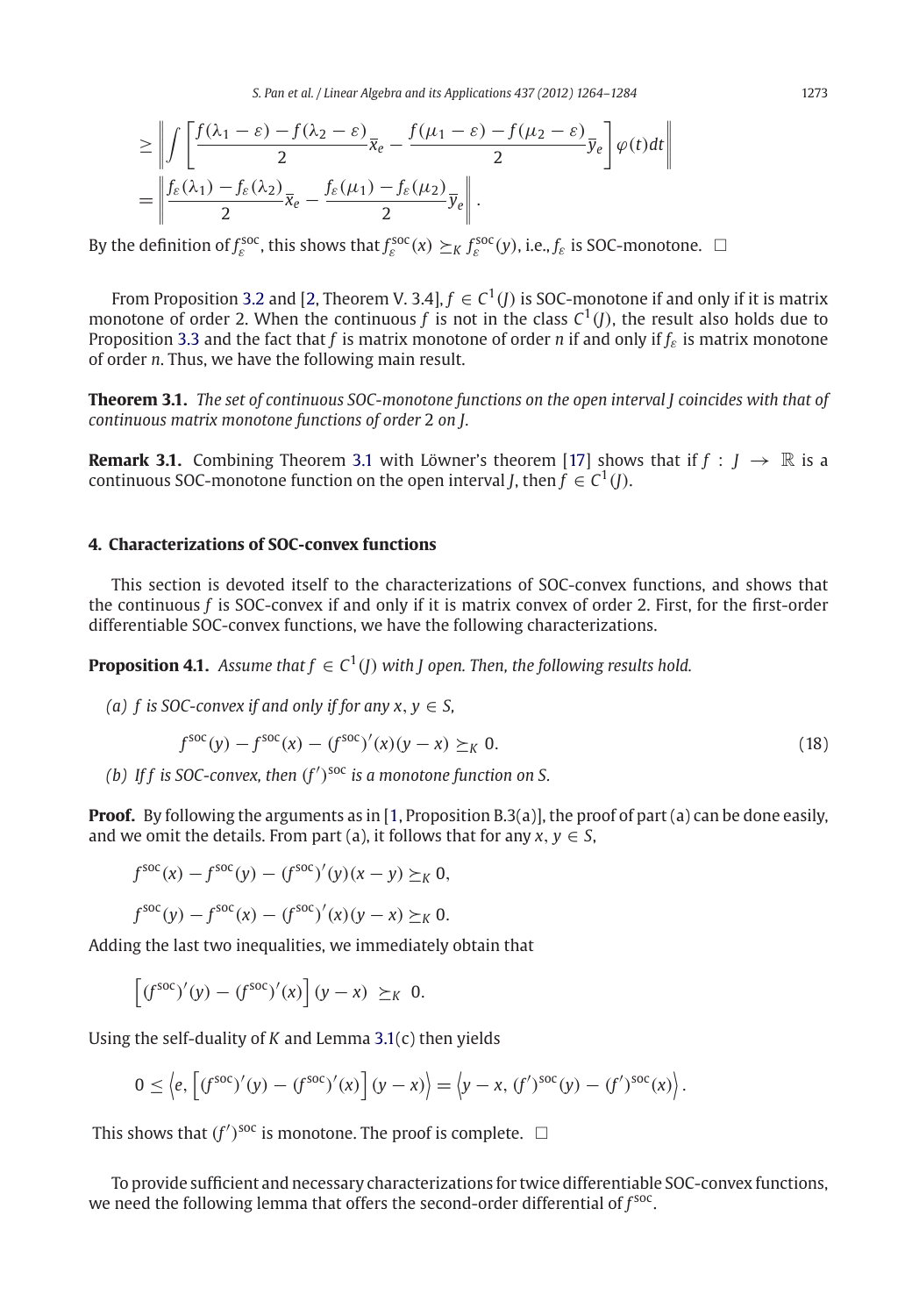*S. Pan et al. / Linear Algebra and its Applications 437 (2012) 1264–1284* 1273

$$
\geq \left\| \int \left[ \frac{f(\lambda_1 - \varepsilon) - f(\lambda_2 - \varepsilon)}{2} \overline{x}_e - \frac{f(\mu_1 - \varepsilon) - f(\mu_2 - \varepsilon)}{2} \overline{y}_e \right] \varphi(t) dt \right\|
$$
  
= 
$$
\left\| \frac{f_{\varepsilon}(\lambda_1) - f_{\varepsilon}(\lambda_2)}{2} \overline{x}_e - \frac{f_{\varepsilon}(\mu_1) - f_{\varepsilon}(\mu_2)}{2} \overline{y}_e \right\|.
$$

By the definition of  $f_{\varepsilon}^{soc}$ , this shows that  $f_{\varepsilon}^{soc}(x) \succeq_K f_{\varepsilon}^{soc}(y)$ , i.e.,  $f_{\varepsilon}$  is SOC-monotone.  $\Box$ 

From Proposition [3.2](#page-7-0) and [\[2](#page-20-6), Theorem V. 3.4],  $f \in C^1(I)$  is SOC-monotone if and only if it is matrix monotone of order 2. When the continuous *f* is not in the class  $C^1$ (*J*), the result also holds due to Proposition [3.3](#page-8-0) and the fact that *f* is matrix monotone of order *n* if and only if  $f_{\varepsilon}$  is matrix monotone of order *n*. Thus, we have the following main result.

<span id="page-9-1"></span>**Theorem 3.1.** *The set of continuous SOC-monotone functions on the open interval J coincides with that of continuous matrix monotone functions of order* 2 *on J.*

**Remark [3.1](#page-9-1).** Combining Theorem 3.1 with Löwner's theorem [\[17\]](#page-20-3) shows that if  $f : I \rightarrow \mathbb{R}$  is a continuous SOC-monotone function on the open interval *J*, then  $f \in C^1(I)$ .

# <span id="page-9-0"></span>**4. Characterizations of SOC-convex functions**

This section is devoted itself to the characterizations of SOC-convex functions, and shows that the continuous *f* is SOC-convex if and only if it is matrix convex of order 2. First, for the first-order differentiable SOC-convex functions, we have the following characterizations.

<span id="page-9-2"></span>**Proposition 4.1.** *Assume that*  $f \in C^1(I)$  *with I* open. Then, the following results hold.

*(a) f is SOC-convex if and only if for any x,*  $y \in S$ *,* 

$$
f^{\text{soc}}(y) - f^{\text{soc}}(x) - (f^{\text{soc}})'(x)(y - x) \geq_K 0.
$$
 (18)

(b) If f is SOC-convex, then  $(f')^{soc}$  is a monotone function on S.

**Proof.** By following the arguments as in [\[1](#page-20-20), Proposition B.3(a)], the proof of part (a) can be done easily, and we omit the details. From part (a), it follows that for any  $x, y \in S$ ,

$$
f^{\text{soc}}(x) - f^{\text{soc}}(y) - (f^{\text{soc}})'(y)(x - y) \succeq_K 0,
$$
  

$$
f^{\text{soc}}(y) - f^{\text{soc}}(x) - (f^{\text{soc}})'(x)(y - x) \succeq_K 0.
$$

Adding the last two inequalities, we immediately obtain that

$$
\left[(f^{\text{soc}})'(y) - (f^{\text{soc}})'(x)\right](y-x) \geq_K 0.
$$

Using the self-duality of *K* and Lemma [3.1\(](#page-4-2)c) then yields

$$
0 \leq \left\langle e, \left[ (f^{\text{soc}})'(y) - (f^{\text{soc}})'(x) \right] (y - x) \right\rangle = \left\langle y - x, (f')^{\text{soc}}(y) - (f')^{\text{soc}}(x) \right\rangle.
$$

This shows that  $(f')^{\text{soc}}$  is monotone. The proof is complete.  $\Box$ 

To provide sufficient and necessary characterizations for twice differentiable SOC-convex functions, we need the following lemma that offers the second-order differential of  $f<sup>soc</sup>$ .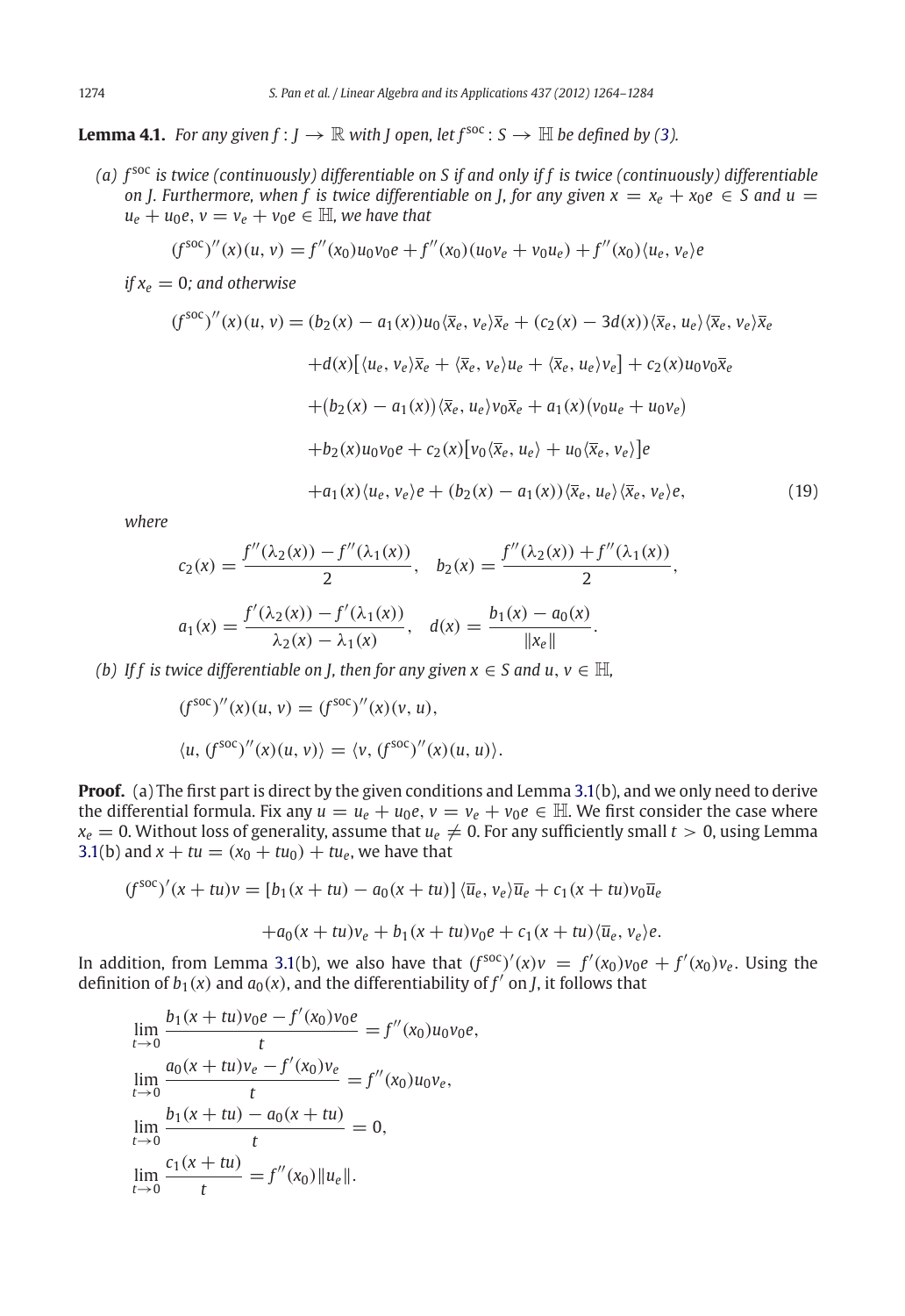<span id="page-10-0"></span>**Lemma 4.1.** *For any given*  $f: J \to \mathbb{R}$  *with J* open, let  $f^{soc}: S \to \mathbb{H}$  *be defined by* [\(3\)](#page-0-0)*.* 

*(a) f* soc *is twice (continuously) differentiable on S if and only if f is twice (continuously) differentiable on J. Furthermore, when f is twice differentiable on <i>J, for any given*  $x = x_e + x_0e \in S$  and  $u =$  $u_e + u_0e$ ,  $v = v_e + v_0e \in \mathbb{H}$ , we have that

$$
(f^{\text{soc}})''(x)(u, v) = f''(x_0)u_0v_0e + f''(x_0)(u_0v_e + v_0u_e) + f''(x_0)(u_e, v_e)e
$$

*if*  $x_e = 0$ *; and otherwise* 

$$
(f^{\text{soc}})''(x)(u, v) = (b_2(x) - a_1(x))u_0\langle \overline{x}_e, v_e\rangle \overline{x}_e + (c_2(x) - 3d(x))\langle \overline{x}_e, u_e\rangle \langle \overline{x}_e, v_e\rangle \overline{x}_e
$$

$$
+ d(x)[\langle u_e, v_e\rangle \overline{x}_e + \langle \overline{x}_e, v_e\rangle u_e + \langle \overline{x}_e, u_e\rangle v_e] + c_2(x)u_0v_0\overline{x}_e
$$

$$
+ (b_2(x) - a_1(x))\langle \overline{x}_e, u_e\rangle v_0\overline{x}_e + a_1(x)(v_0u_e + u_0v_e)
$$

$$
+ b_2(x)u_0v_0e + c_2(x)[v_0\langle \overline{x}_e, u_e\rangle + u_0\langle \overline{x}_e, v_e\rangle]e
$$

$$
+ a_1(x)\langle u_e, v_e\rangle e + (b_2(x) - a_1(x))\langle \overline{x}_e, u_e\rangle \langle \overline{x}_e, v_e\rangle e,
$$
(19)

*where*

$$
c_2(x) = \frac{f''(\lambda_2(x)) - f''(\lambda_1(x))}{2}, \quad b_2(x) = \frac{f''(\lambda_2(x)) + f''(\lambda_1(x))}{2},
$$

$$
a_1(x) = \frac{f'(\lambda_2(x)) - f'(\lambda_1(x))}{\lambda_2(x) - \lambda_1(x)}, \quad d(x) = \frac{b_1(x) - a_0(x)}{\|x_e\|}.
$$

*(b)* If f is twice differentiable on *J, then for any given*  $x \in S$  and  $u, v \in \mathbb{H}$ ,

$$
(f^{\text{soc}})''(x)(u, v) = (f^{\text{soc}})''(x)(v, u),
$$
  

$$
\langle u, (f^{\text{soc}})''(x)(u, v) \rangle = \langle v, (f^{\text{soc}})''(x)(u, u) \rangle.
$$

**Proof.** (a) The first part is direct by the given conditions and Lemma [3.1\(](#page-4-2)b), and we only need to derive the differential formula. Fix any  $u = u_e + u_0e$ ,  $v = v_e + v_0e \in \mathbb{H}$ . We first consider the case where  $x_e = 0$ . Without loss of generality, assume that  $u_e \neq 0$ . For any sufficiently small  $t > 0$ , using Lemma [3.1\(](#page-4-2)b) and  $x + tu = (x_0 + tu_0) + tu_e$ , we have that

$$
(f^{\text{soc}})'(x+tu)v = [b_1(x+tu) - a_0(x+tu)] \langle \overline{u}_e, v_e \rangle \overline{u}_e + c_1(x+tu)v_0 \overline{u}_e
$$

$$
+ a_0(x+tu)v_e + b_1(x+tu)v_0 e + c_1(x+tu) \langle \overline{u}_e, v_e \rangle e.
$$

In addition, from Lemma [3.1\(](#page-4-2)b), we also have that  $(f^{soc})'(x)v = f'(x_0)v_0e + f'(x_0)v_e$ . Using the definition of  $b_1(x)$  and  $a_0(x)$ , and the differentiability of  $f'$  on *J*, it follows that

$$
\lim_{t \to 0} \frac{b_1(x+tu)v_0e - f'(x_0)v_0e}{t} = f''(x_0)u_0v_0e,
$$
  
\n
$$
\lim_{t \to 0} \frac{a_0(x+tu)v_e - f'(x_0)v_e}{t} = f''(x_0)u_0v_e,
$$
  
\n
$$
\lim_{t \to 0} \frac{b_1(x+tu) - a_0(x+tu)}{t} = 0,
$$
  
\n
$$
\lim_{t \to 0} \frac{c_1(x+tu)}{t} = f''(x_0) \|u_e\|.
$$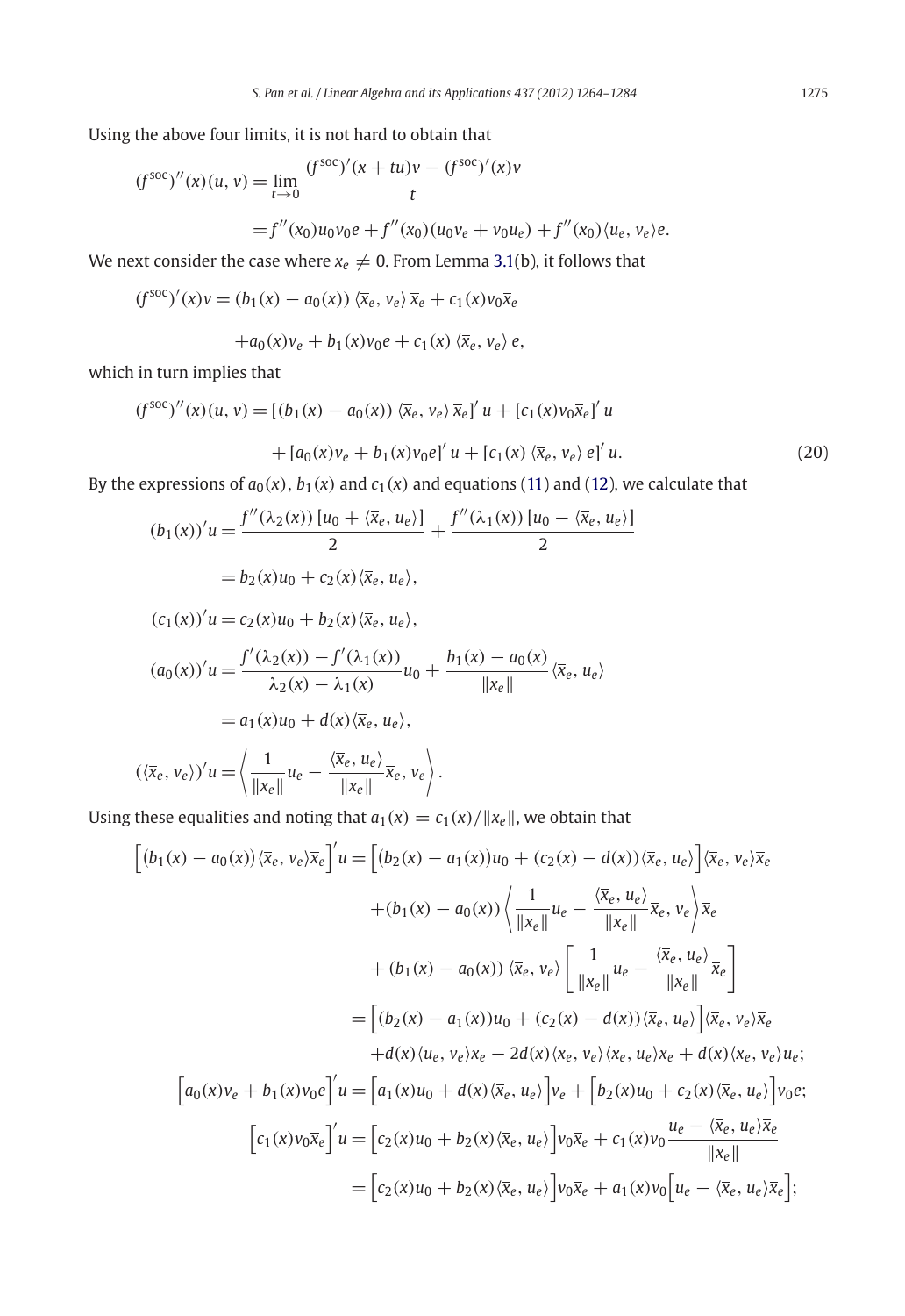Using the above four limits, it is not hard to obtain that

$$
(f^{\text{soc}})''(x)(u, v) = \lim_{t \to 0} \frac{(f^{\text{soc}})'(x + tu)v - (f^{\text{soc}})'(x)v}{t}
$$
  
=  $f''(x_0)u_0v_0e + f''(x_0)(u_0v_e + v_0u_e) + f''(x_0)(u_e, v_e)e$ .

We next consider the case where  $x_e \neq 0$ . From Lemma [3.1\(](#page-4-2)b), it follows that

$$
(f^{\text{soc}})'(x)v = (b_1(x) - a_0(x)) \langle \overline{x}_e, v_e \rangle \overline{x}_e + c_1(x)v_0 \overline{x}_e
$$

$$
+a_0(x)v_e+b_1(x)v_0e+c_1(x)\langle\overline{x}_e,v_e\rangle e,
$$

which in turn implies that

$$
(f^{\text{soc}})''(x)(u, v) = [(b_1(x) - a_0(x)) \langle \bar{x}_e, v_e \rangle \bar{x}_e]' u + [c_1(x)v_0 \bar{x}_e]' u + [a_0(x)v_e + b_1(x)v_0 e]' u + [c_1(x) \langle \bar{x}_e, v_e \rangle e]' u.
$$
(20)

By the expressions of  $a_0(x)$ ,  $b_1(x)$  and  $c_1(x)$  and equations [\(11\)](#page-4-1) and [\(12\)](#page-4-1), we calculate that

$$
(b_1(x))'u = \frac{f''(\lambda_2(x)) [u_0 + \langle \overline{x}_e, u_e \rangle]}{2} + \frac{f''(\lambda_1(x)) [u_0 - \langle \overline{x}_e, u_e \rangle]}{2}
$$
  
=  $b_2(x)u_0 + c_2(x) \langle \overline{x}_e, u_e \rangle$ ,

$$
(c_1(x))'u = c_2(x)u_0 + b_2(x)\langle \overline{x}_e, u_e \rangle,
$$

$$
(a_0(x))'u = \frac{f'(\lambda_2(x)) - f'(\lambda_1(x))}{\lambda_2(x) - \lambda_1(x)}u_0 + \frac{b_1(x) - a_0(x)}{\|x_e\|}\langle \overline{x}_e, u_e \rangle
$$
  
=  $a_1(x)u_0 + d(x)\langle \overline{x}_e, u_e \rangle$ ,

$$
(\langle \overline{x}_e, v_e \rangle)' u = \left\langle \frac{1}{\|x_e\|} u_e - \frac{\langle \overline{x}_e, u_e \rangle}{\|x_e\|} \overline{x}_e, v_e \right\rangle.
$$

Using these equalities and noting that  $a_1(x) = c_1(x)/||x_e||$ , we obtain that

$$
\begin{split}\n\left[ (b_1(x) - a_0(x)) \langle \overline{x}_e, v_e \rangle \overline{x}_e \right]' u &= \left[ (b_2(x) - a_1(x))u_0 + (c_2(x) - d(x)) \langle \overline{x}_e, u_e \rangle \right] \langle \overline{x}_e, v_e \rangle \overline{x}_e \\
&\quad + (b_1(x) - a_0(x)) \left\langle \frac{1}{\|x_e\|} u_e - \frac{\langle \overline{x}_e, u_e \rangle}{\|x_e\|} \overline{x}_e, v_e \right\rangle \overline{x}_e \\
&\quad + (b_1(x) - a_0(x)) \langle \overline{x}_e, v_e \rangle \left[ \frac{1}{\|x_e\|} u_e - \frac{\langle \overline{x}_e, u_e \rangle}{\|x_e\|} \overline{x}_e \right] \\
&= \left[ (b_2(x) - a_1(x))u_0 + (c_2(x) - d(x)) \langle \overline{x}_e, u_e \rangle \right] \langle \overline{x}_e, v_e \rangle \overline{x}_e \\
&\quad + d(x) \langle u_e, v_e \rangle \overline{x}_e - 2d(x) \langle \overline{x}_e, v_e \rangle \langle \overline{x}_e, u_e \rangle \overline{x}_e + d(x) \langle \overline{x}_e, v_e \rangle u_e; \\
\left[ a_0(x)v_e + b_1(x)v_0e \right]' u &= \left[ a_1(x)u_0 + d(x) \langle \overline{x}_e, u_e \rangle \right] v_e + \left[ b_2(x)u_0 + c_2(x) \langle \overline{x}_e, u_e \rangle \right] v_0 e; \\
&\quad \left[ c_1(x)v_0\overline{x}_e \right]' u &= \left[ c_2(x)u_0 + b_2(x) \langle \overline{x}_e, u_e \rangle \right] v_0\overline{x}_e + c_1(x)v_0 \frac{u_e - \langle \overline{x}_e, u_e \rangle \overline{x}_e}{\|x_e\|} \\
&= \left[ c_2(x)u_0 + b_2(x) \langle \overline{x}_e, u_e \rangle \right] v_0\overline{x}_e + a_1(x)v_0 \left[ u_e - \langle \overline{x}_e, u_e \rangle \overline{x}_e \right];\n\end{split}
$$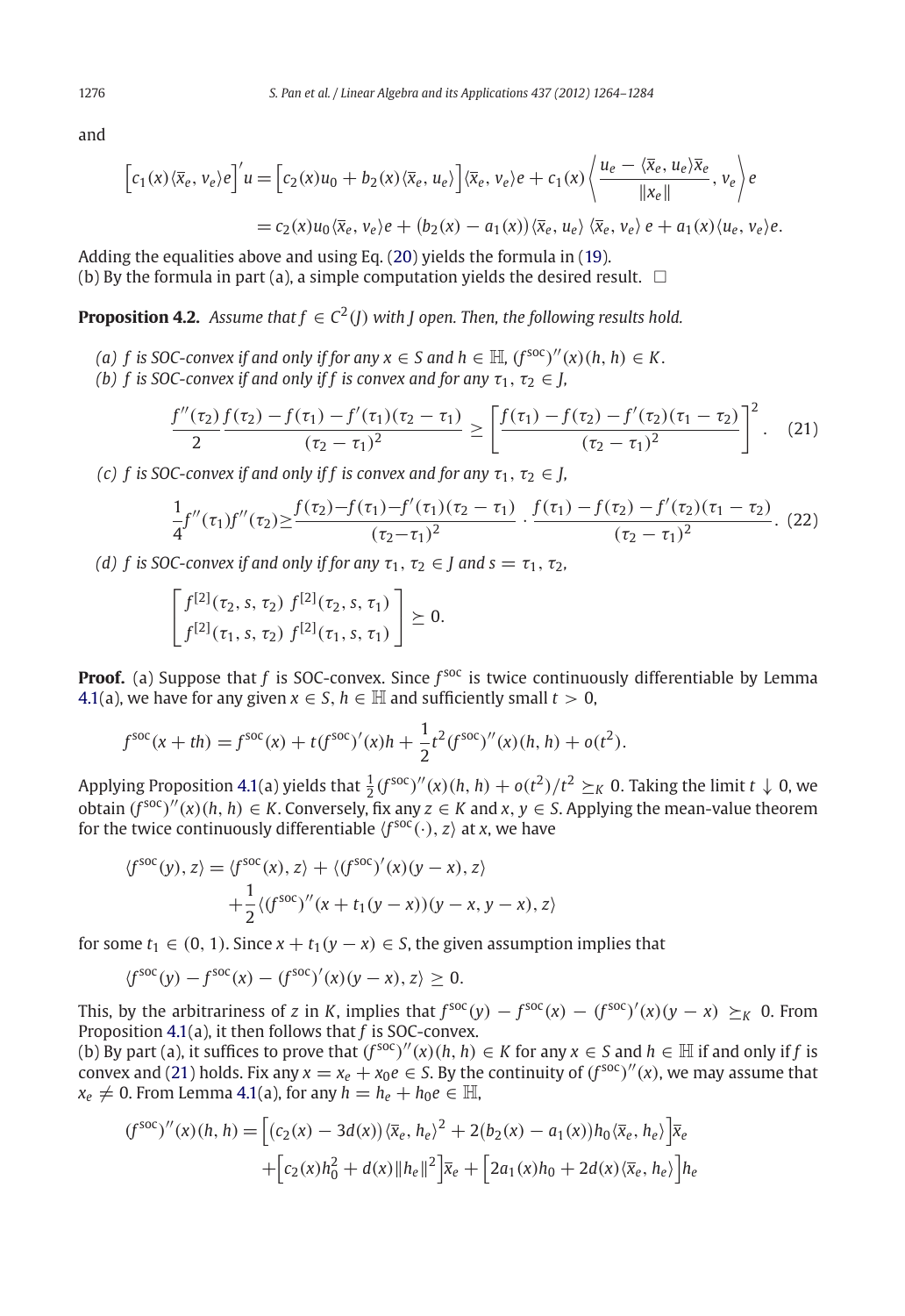and

$$
\[c_1(x)\langle \overline{x}_e, v_e\rangle e\]'u = \[c_2(x)u_0 + b_2(x)\langle \overline{x}_e, u_e\rangle\] \langle \overline{x}_e, v_e\rangle e + c_1(x)\langle \frac{u_e - \langle \overline{x}_e, u_e\rangle \overline{x}_e}{\|x_e\|}, v_e\rangle e
$$

$$
= c_2(x)u_0 \langle \overline{x}_e, v_e\rangle e + (b_2(x) - a_1(x)) \langle \overline{x}_e, u_e\rangle \langle \overline{x}_e, v_e\rangle e + a_1(x)\langle u_e, v_e\rangle e.
$$

Adding the equalities above and using Eq. [\(20\)](#page-10-0) yields the formula in [\(19\)](#page-10-0). (b) By the formula in part (a), a simple computation yields the desired result.  $\Box$ 

<span id="page-12-0"></span>**Proposition 4.2.** *Assume that*  $f \in C^2(I)$  *with I* open. Then, the following results hold.

- *(a) f is SOC-convex if and only if for any*  $x \in S$  *and*  $h \in H$ *,*  $(f^{\text{soc}})'(x)(h, h) \in K$ .
- *(b) f* is SOC-convex if and only if *f* is convex and for any  $\tau_1, \tau_2 \in J$ ,

$$
\frac{f''(\tau_2) f(\tau_2) - f(\tau_1) - f'(\tau_1)(\tau_2 - \tau_1)}{2} \ge \left[ \frac{f(\tau_1) - f(\tau_2) - f'(\tau_2)(\tau_1 - \tau_2)}{(\tau_2 - \tau_1)^2} \right]^2.
$$
 (21)

*(c) f* is SOC-convex if and only if *f* is convex and for any  $\tau_1$ ,  $\tau_2 \in$  *J*,

$$
\frac{1}{4}f''(\tau_1)f''(\tau_2) \ge \frac{f(\tau_2) - f(\tau_1) - f'(\tau_1)(\tau_2 - \tau_1)}{(\tau_2 - \tau_1)^2} \cdot \frac{f(\tau_1) - f(\tau_2) - f'(\tau_2)(\tau_1 - \tau_2)}{(\tau_2 - \tau_1)^2}.
$$
 (22)

*(d) f* is SOC-convex if and only if for any  $\tau_1$ ,  $\tau_2 \in J$  and  $s = \tau_1$ ,  $\tau_2$ ,

$$
\begin{bmatrix} f^{[2]}(\tau_2,s,\tau_2) \ f^{[2]}(\tau_2,s,\tau_1) \\ f^{[2]}(\tau_1,s,\tau_2) \ f^{[2]}(\tau_1,s,\tau_1) \end{bmatrix} \succeq 0.
$$

**Proof.** (a) Suppose that *f* is SOC-convex. Since  $f^{\text{soc}}$  is twice continuously differentiable by Lemma [4.1\(](#page-10-0)a), we have for any given  $x \in S$ ,  $h \in \mathbb{H}$  and sufficiently small  $t > 0$ ,

$$
f^{\text{soc}}(x+th) = f^{\text{soc}}(x) + t(f^{\text{soc}})'(x)h + \frac{1}{2}t^2(f^{\text{soc}})''(x)(h, h) + o(t^2).
$$

Applying Proposition [4.1\(](#page-9-2)a) yields that  $\frac{1}{2}(f^{\text{soc}})''(x)(h, h) + o(t^2)/t^2 \geq_K 0$ . Taking the limit  $t \downarrow 0$ , we obtain  $(f^{SOC})''(x)(h, h) \in K$ . Conversely, fix any  $z \in K$  and  $x, y \in S$ . Applying the mean-value theorem for the twice continuously differentiable  $\langle f^{\text{soc}}(\cdot), z \rangle$  at *x*, we have

$$
\langle f^{\text{soc}}(y), z \rangle = \langle f^{\text{soc}}(x), z \rangle + \langle (f^{\text{soc}})'(x)(y - x), z \rangle
$$

$$
+ \frac{1}{2} \langle (f^{\text{soc}})''(x + t_1(y - x))(y - x, y - x), z \rangle
$$

for some  $t_1 \in (0, 1)$ . Since  $x + t_1(y - x) \in S$ , the given assumption implies that

$$
\langle f^{\text{soc}}(y) - f^{\text{soc}}(x) - (f^{\text{soc}})'(x)(y - x), z \rangle \ge 0.
$$

This, by the arbitrariness of *z* in *K*, implies that  $f^{soc}(y) - f^{soc}(x) - (f^{soc})'(x)(y - x) \geq_K 0$ . From Proposition [4.1\(](#page-9-2)a), it then follows that *f* is SOC-convex.

(b) By part (a), it suffices to prove that  $(f^{soc})''(x)(h, h) ∈ K$  for any  $x ∈ S$  and  $h ∈ \mathbb{H}$  if and only if *f* is convex and [\(21\)](#page-12-0) holds. Fix any  $x = x_e + x_0e \in S$ . By the continuity of  $(f^{soc})''(x)$ , we may assume that  $x_e \neq 0$ . From Lemma [4.1\(](#page-10-0)a), for any  $h = h_e + h_0 e \in \mathbb{H}$ ,

$$
(f^{\text{soc}})''(x)(h, h) = \left[ (c_2(x) - 3d(x))\langle \bar{x}_e, h_e \rangle^2 + 2(b_2(x) - a_1(x))h_0 \langle \bar{x}_e, h_e \rangle \right] \bar{x}_e + \left[ c_2(x)h_0^2 + d(x)\|h_e\|^2 \right] \bar{x}_e + \left[ 2a_1(x)h_0 + 2d(x)\langle \bar{x}_e, h_e \rangle \right] h_e
$$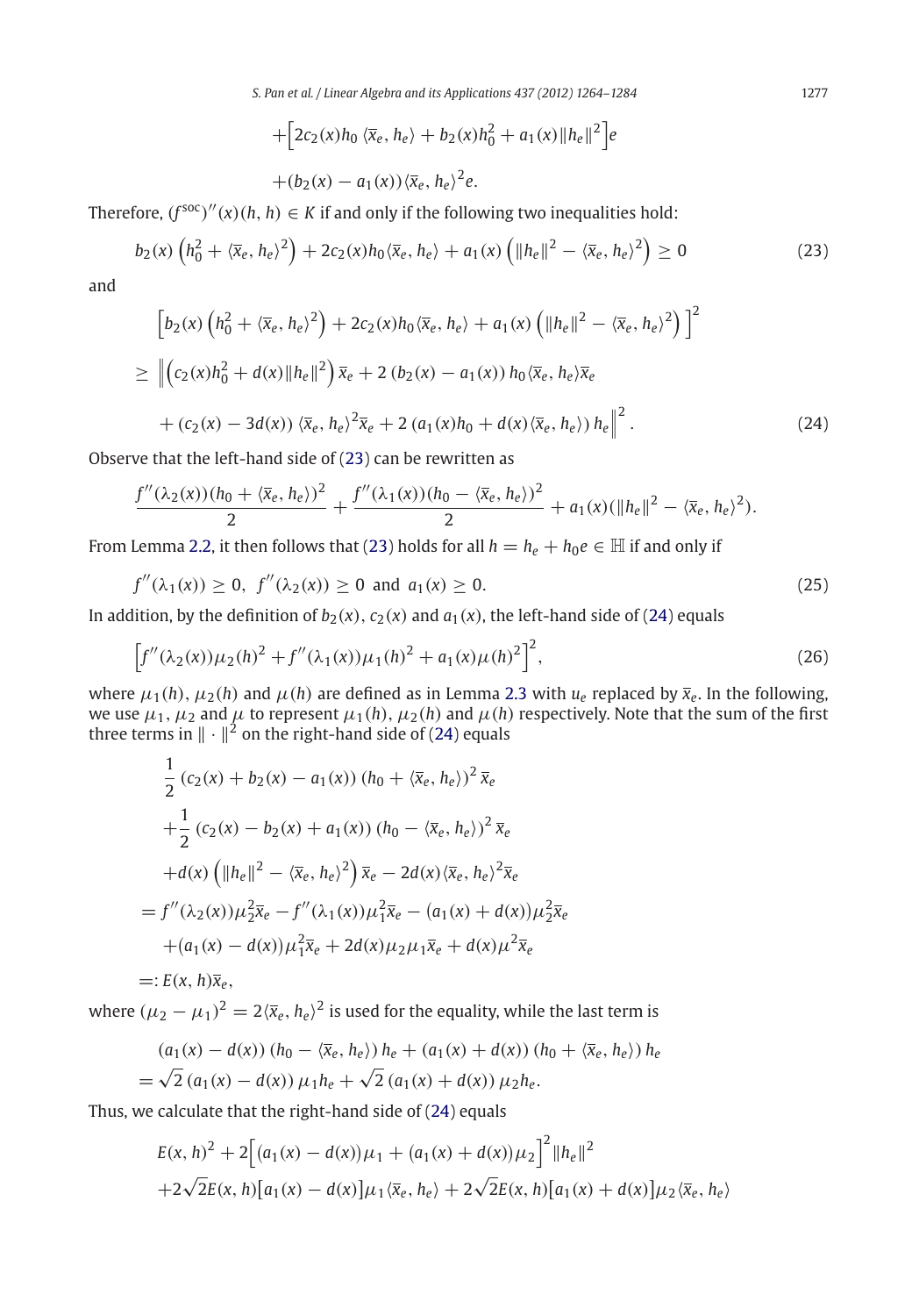*S. Pan et al. / Linear Algebra and its Applications 437 (2012) 1264–1284* 1277

+
$$
[2c_2(x)h_0 \langle \bar{x}_e, h_e \rangle + b_2(x)h_0^2 + a_1(x)||h_e||^2]e
$$
  
+
$$
(b_2(x) - a_1(x))\langle \bar{x}_e, h_e \rangle^2 e.
$$

Therefore,  $(f^{soc})''(x)(h, h) \in K$  if and only if the following two inequalities hold:

$$
b_2(x)\left(h_0^2 + \langle \bar{x}_e, h_e \rangle^2\right) + 2c_2(x)h_0\langle \bar{x}_e, h_e \rangle + a_1(x)\left(\|h_e\|^2 - \langle \bar{x}_e, h_e \rangle^2\right) \ge 0
$$
\n(23)

and

$$
\[b_2(x) \left(h_0^2 + \langle \overline{x}_e, h_e \rangle^2\right) + 2c_2(x)h_0 \langle \overline{x}_e, h_e \rangle + a_1(x) \left(\|h_e\|^2 - \langle \overline{x}_e, h_e \rangle^2\right)\]^{2}
$$
\n
$$
\geq \left\| \left(c_2(x)h_0^2 + d(x)\|h_e\|^2\right) \overline{x}_e + 2 \left(b_2(x) - a_1(x)\right)h_0 \langle \overline{x}_e, h_e \rangle \overline{x}_e \right\| + (c_2(x) - 3d(x)) \langle \overline{x}_e, h_e \rangle^{2} \overline{x}_e + 2 \left(a_1(x)h_0 + d(x) \langle \overline{x}_e, h_e \rangle\right)h_e \right\|^{2}.
$$
\n(24)

Observe that the left-hand side of [\(23\)](#page-12-0) can be rewritten as

$$
\frac{f''(\lambda_2(x))(h_0+\langle \bar{x}_e, h_e \rangle)^2}{2} + \frac{f''(\lambda_1(x))(h_0-\langle \bar{x}_e, h_e \rangle)^2}{2} + a_1(x)(\|h_e\|^2 - \langle \bar{x}_e, h_e \rangle^2).
$$

From Lemma [2.2,](#page-3-1) it then follows that [\(23\)](#page-12-0) holds for all  $h = h_e + h_0e \in \mathbb{H}$  if and only if

$$
f''(\lambda_1(x)) \ge 0, \ f''(\lambda_2(x)) \ge 0 \text{ and } a_1(x) \ge 0. \tag{25}
$$

In addition, by the definition of  $b_2(x)$ ,  $c_2(x)$  and  $a_1(x)$ , the left-hand side of [\(24\)](#page-12-0) equals

$$
\[f''(\lambda_2(x))\mu_2(h)^2 + f''(\lambda_1(x))\mu_1(h)^2 + a_1(x)\mu(h)^2\]^{2},\tag{26}
$$

where  $\mu_1(h)$ ,  $\mu_2(h)$  and  $\mu(h)$  are defined as in Lemma [2.3](#page-3-2) with  $u_e$  replaced by  $\bar{x}_e$ . In the following, we use  $\mu_1, \mu_2$  and  $\mu$  to represent  $\mu_1(h), \mu_2(h)$  and  $\mu(h)$  respectively. Note that the sum of the first three terms in  $\|\cdot\|^2$  on the right-hand side of [\(24\)](#page-12-0) equals

$$
\frac{1}{2} (c_2(x) + b_2(x) - a_1(x)) (h_0 + \langle \overline{x}_e, h_e \rangle)^2 \overline{x}_e \n+ \frac{1}{2} (c_2(x) - b_2(x) + a_1(x)) (h_0 - \langle \overline{x}_e, h_e \rangle)^2 \overline{x}_e \n+ d(x) (||h_e||^2 - \langle \overline{x}_e, h_e \rangle^2) \overline{x}_e - 2d(x) \langle \overline{x}_e, h_e \rangle^2 \overline{x}_e \n= f''(\lambda_2(x)) \mu_2^2 \overline{x}_e - f''(\lambda_1(x)) \mu_1^2 \overline{x}_e - (a_1(x) + d(x)) \mu_2^2 \overline{x}_e \n+ (a_1(x) - d(x)) \mu_1^2 \overline{x}_e + 2d(x) \mu_2 \mu_1 \overline{x}_e + d(x) \mu_2^2 \overline{x}_e
$$

$$
=:E(x,h)\overline{x}_e,
$$

where  $(\mu_2 - \mu_1)^2 = 2\langle \bar{x}_e, h_e \rangle^2$  is used for the equality, while the last term is

$$
(a_1(x) - d(x)) (h_0 - \langle \bar{x}_e, h_e \rangle) h_e + (a_1(x) + d(x)) (h_0 + \langle \bar{x}_e, h_e \rangle) h_e
$$
  
=  $\sqrt{2} (a_1(x) - d(x)) \mu_1 h_e + \sqrt{2} (a_1(x) + d(x)) \mu_2 h_e.$ 

Thus, we calculate that the right-hand side of [\(24\)](#page-12-0) equals

$$
E(x, h)^{2} + 2\Big[(a_{1}(x) - d(x))\mu_{1} + (a_{1}(x) + d(x))\mu_{2}\Big]^{2}||h_{e}||^{2}
$$
  
+2\sqrt{2}E(x, h)[a\_{1}(x) - d(x)]\mu\_{1}\langle\overline{x}\_{e}, h\_{e}\rangle + 2\sqrt{2}E(x, h)[a\_{1}(x) + d(x)]\mu\_{2}\langle\overline{x}\_{e}, h\_{e}\rangle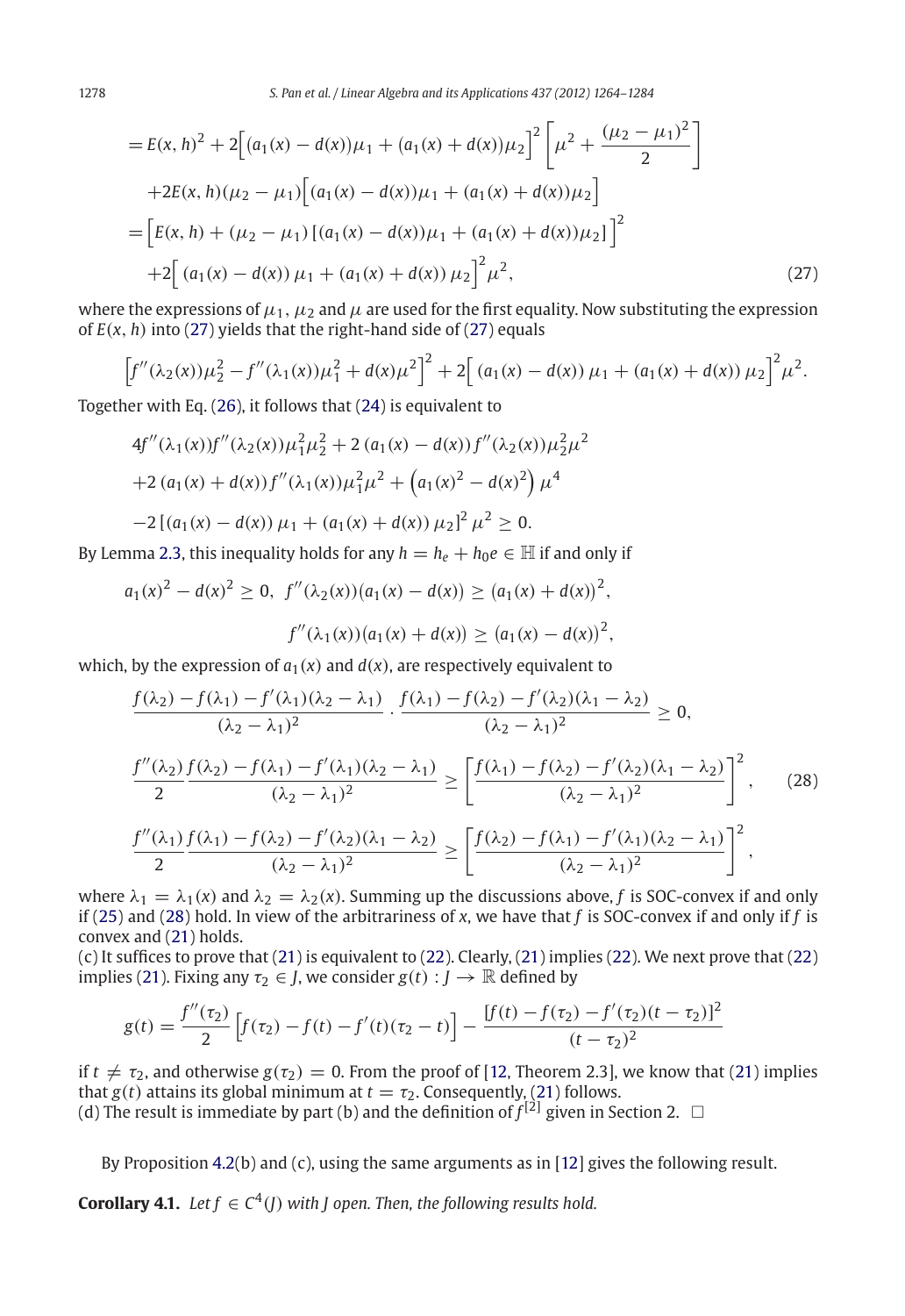1278 *S. Pan et al. / Linear Algebra and its Applications 437 (2012) 1264–1284*

$$
= E(x, h)^{2} + 2\Big[(a_{1}(x) - d(x))\mu_{1} + (a_{1}(x) + d(x))\mu_{2}\Big]^{2}\Big[\mu^{2} + \frac{(\mu_{2} - \mu_{1})^{2}}{2}\Big] + 2E(x, h)(\mu_{2} - \mu_{1})\Big[(a_{1}(x) - d(x))\mu_{1} + (a_{1}(x) + d(x))\mu_{2}\Big] = \Big[E(x, h) + (\mu_{2} - \mu_{1})\left[(a_{1}(x) - d(x))\mu_{1} + (a_{1}(x) + d(x))\mu_{2}\right]^{2} + 2\Big[(a_{1}(x) - d(x))\mu_{1} + (a_{1}(x) + d(x))\mu_{2}\Big]^{2}\mu^{2},
$$
\n(27)

where the expressions of  $\mu_1$ ,  $\mu_2$  and  $\mu$  are used for the first equality. Now substituting the expression of  $E(x, h)$  into [\(27\)](#page-12-0) yields that the right-hand side of (27) equals

$$
\[f''(\lambda_2(x))\mu_2^2 - f''(\lambda_1(x))\mu_1^2 + d(x)\mu^2\]^2 + 2\Big[(a_1(x) - d(x))\mu_1 + (a_1(x) + d(x))\mu_2\Big]^2\mu^2.
$$

Together with Eq. [\(26\)](#page-12-0), it follows that [\(24\)](#page-12-0) is equivalent to

$$
4f''(\lambda_1(x))f''(\lambda_2(x))\mu_1^2\mu_2^2 + 2(a_1(x) - d(x))f''(\lambda_2(x))\mu_2^2\mu_2^2
$$
  
+2(a<sub>1</sub>(x) + d(x))f''(\lambda\_1(x))\mu\_1^2\mu\_2^2 + (a\_1(x)^2 - d(x)^2)\mu\_1^4  
-2[(a<sub>1</sub>(x) - d(x))\mu\_1 + (a<sub>1</sub>(x) + d(x))\mu\_2]^2\mu\_2^2 \ge 0.

By Lemma [2.3,](#page-3-2) this inequality holds for any  $h = h_e + h_0e \in \mathbb{H}$  if and only if

$$
a_1(x)^2 - d(x)^2 \ge 0, \ f''(\lambda_2(x))(a_1(x) - d(x)) \ge (a_1(x) + d(x))^2,
$$
  

$$
f''(\lambda_1(x))(a_1(x) + d(x)) \ge (a_1(x) - d(x))^2,
$$

which, by the expression of  $a_1(x)$  and  $d(x)$ , are respectively equivalent to

$$
\frac{f(\lambda_2) - f(\lambda_1) - f'(\lambda_1)(\lambda_2 - \lambda_1)}{(\lambda_2 - \lambda_1)^2} \cdot \frac{f(\lambda_1) - f(\lambda_2) - f'(\lambda_2)(\lambda_1 - \lambda_2)}{(\lambda_2 - \lambda_1)^2} \ge 0,
$$
\n
$$
\frac{f''(\lambda_2) f(\lambda_2) - f(\lambda_1) - f'(\lambda_1)(\lambda_2 - \lambda_1)}{(\lambda_2 - \lambda_1)^2} \ge \left[ \frac{f(\lambda_1) - f(\lambda_2) - f'(\lambda_2)(\lambda_1 - \lambda_2)}{(\lambda_2 - \lambda_1)^2} \right]^2, \quad (28)
$$
\n
$$
\frac{f''(\lambda_1) f(\lambda_1) - f(\lambda_2) - f'(\lambda_2)(\lambda_1 - \lambda_2)}{(\lambda_2 - \lambda_1)^2} \ge \left[ \frac{f(\lambda_2) - f(\lambda_1) - f'(\lambda_1)(\lambda_2 - \lambda_1)}{(\lambda_2 - \lambda_1)^2} \right]^2,
$$

where  $\lambda_1 = \lambda_1(x)$  and  $\lambda_2 = \lambda_2(x)$ . Summing up the discussions above, f is SOC-convex if and only if [\(25\)](#page-12-0) and [\(28\)](#page-12-0) hold. In view of the arbitrariness of *x*, we have that *f* is SOC-convex if and only if *f* is convex and [\(21\)](#page-12-0) holds.

(c) It suffices to prove that [\(21\)](#page-12-0) is equivalent to [\(22\)](#page-12-0). Clearly, [\(21\)](#page-12-0) implies [\(22\)](#page-12-0). We next prove that [\(22\)](#page-12-0) implies [\(21\)](#page-12-0). Fixing any  $\tau_2 \in J$ , we consider  $g(t) : J \to \mathbb{R}$  defined by

$$
g(t) = \frac{f''(\tau_2)}{2} \left[ f(\tau_2) - f(t) - f'(t)(\tau_2 - t) \right] - \frac{[f(t) - f(\tau_2) - f'(\tau_2)(t - \tau_2)]^2}{(t - \tau_2)^2}
$$

if  $t \neq \tau_2$ , and otherwise  $g(\tau_2) = 0$ . From the proof of [\[12](#page-20-16), Theorem 2.3], we know that [\(21\)](#page-12-0) implies that  $g(t)$  attains its global minimum at  $t = \tau_2$ . Consequently, [\(21\)](#page-12-0) follows. (d) The result is immediate by part (b) and the definition of  $f^{[2]}$  given in Section 2.  $\Box$ 

By Proposition [4.2\(](#page-12-0)b) and (c), using the same arguments as in [\[12](#page-20-16)] gives the following result.

<span id="page-14-0"></span>**Corollary 4.1.** *Let*  $f \in C^4(I)$  *with J* open. Then, the following results hold.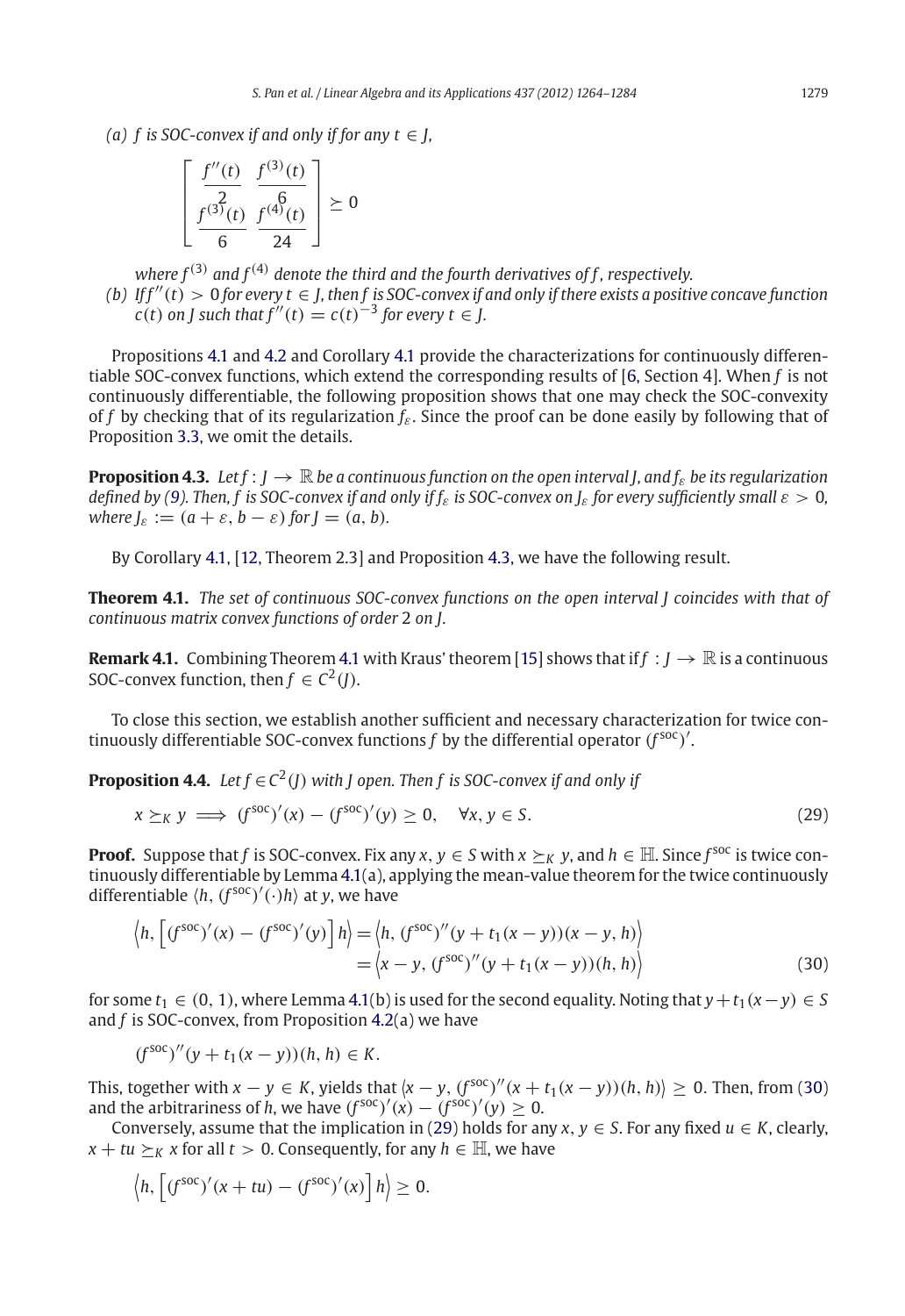*(a) f is SOC-convex if and only if for any*  $t \in I$ *.* 

$$
\left[\frac{f''(t)}{\frac{2}{6}} \frac{f^{(3)}(t)}{f^{(4)}(t)} \right] \ge 0
$$

*where*  $f^{(3)}$  *and*  $f^{(4)}$  *denote the third and the fourth derivatives of f, respectively.* 

*(b)* If  $f''(t) > 0$  *for every*  $t \in J$ , then f is SOC-convex if and only if there exists a positive concave function *c*(*t*) *on J* such that  $f''(t) = c(t)^{-3}$  for every  $t \in I$ .

Propositions [4.1](#page-9-2) and [4.2](#page-12-0) and Corollary [4.1](#page-14-0) provide the characterizations for continuously differentiable SOC-convex functions, which extend the corresponding results of [\[6](#page-20-2), Section 4]. When *f* is not continuously differentiable, the following proposition shows that one may check the SOC-convexity of *f* by checking that of its regularization *f*ε. Since the proof can be done easily by following that of Proposition [3.3,](#page-8-0) we omit the details.

<span id="page-15-1"></span>**Proposition 4.3.** Let  $f: I \to \mathbb{R}$  be a continuous function on the open interval *I*, and  $f<sub>e</sub>$  be its regularization *defined by [\(9\)](#page-3-2). Then, f is SOC-convex if and only if*  $f_s$  *is SOC-convex on*  $J_s$  *for every sufficiently small*  $\varepsilon > 0$ , *where*  $J_{\varepsilon} := (a + \varepsilon, b - \varepsilon)$  *for*  $J = (a, b)$ *.* 

By Corollary [4.1,](#page-14-0) [\[12](#page-20-16), Theorem 2.3] and Proposition [4.3,](#page-15-1) we have the following result.

<span id="page-15-2"></span>**Theorem 4.1.** *The set of continuous SOC-convex functions on the open interval J coincides with that of continuous matrix convex functions of order* 2 *on J.*

**Remark [4.1](#page-15-2).** Combining Theorem 4.1 with Kraus' theorem [\[15](#page-20-4)] shows that if  $f: J \to \mathbb{R}$  is a continuous SOC-convex function, then  $f \in C^2(I)$ .

<span id="page-15-0"></span>To close this section, we establish another sufficient and necessary characterization for twice continuously differentiable SOC-convex functions  $f$  by the differential operator  $(f^{\text{soc}})'$ .

**Proposition 4.4.** *Let*  $f \in C^2(I)$  *with I* open. Then *f* is SOC-convex if and only if

<span id="page-15-3"></span>
$$
x \succeq_K y \implies (f^{\text{soc}})'(x) - (f^{\text{soc}})'(y) \ge 0, \quad \forall x, y \in S. \tag{29}
$$

**Proof.** Suppose that *f* is SOC-convex. Fix any *x*,  $y \in S$  with  $x \succ_K y$ , and  $h \in \mathbb{H}$ . Since *f*<sup>soc</sup> is twice continuously differentiable by Lemma [4.1\(](#page-10-0)a), applying the mean-value theorem for the twice continuously differentiable  $\langle h, (f^{\text{soc}})'(\cdot)h \rangle$  at *y*, we have

$$
\langle h, \left[ (f^{\text{soc}})'(x) - (f^{\text{soc}})'(y) \right] h \rangle = \langle h, (f^{\text{soc}})''(y + t_1(x - y))(x - y, h) \rangle
$$
  
= 
$$
\langle x - y, (f^{\text{soc}})''(y + t_1(x - y))(h, h) \rangle
$$
 (30)

for some  $t_1 \in (0, 1)$ , where Lemma [4.1\(](#page-10-0)b) is used for the second equality. Noting that  $y + t_1(x - y) \in S$ and *f* is SOC-convex, from Proposition [4.2\(](#page-12-0)a) we have

$$
(f^{\text{soc}})''(y + t_1(x - y))(h, h) \in K.
$$

This, together with  $x - y \in K$ , yields that  $\langle x - y, (f^{\text{soc}})'(x + t_1(x - y))(h, h) \rangle \ge 0$ . Then, from [\(30\)](#page-15-3) and the arbitrariness of *h*, we have  $(f^{soc})'(x) - (f^{soc})'(y) \ge 0$ .

Conversely, assume that the implication in [\(29\)](#page-15-3) holds for any  $x, y \in S$ . For any fixed  $u \in K$ , clearly,  $x + tu \succeq_K x$  for all  $t > 0$ . Consequently, for any  $h \in \mathbb{H}$ , we have

$$
\langle h, \left[ (f^{\text{soc}})'(x+tu) - (f^{\text{soc}})'(x) \right] h \rangle \geq 0.
$$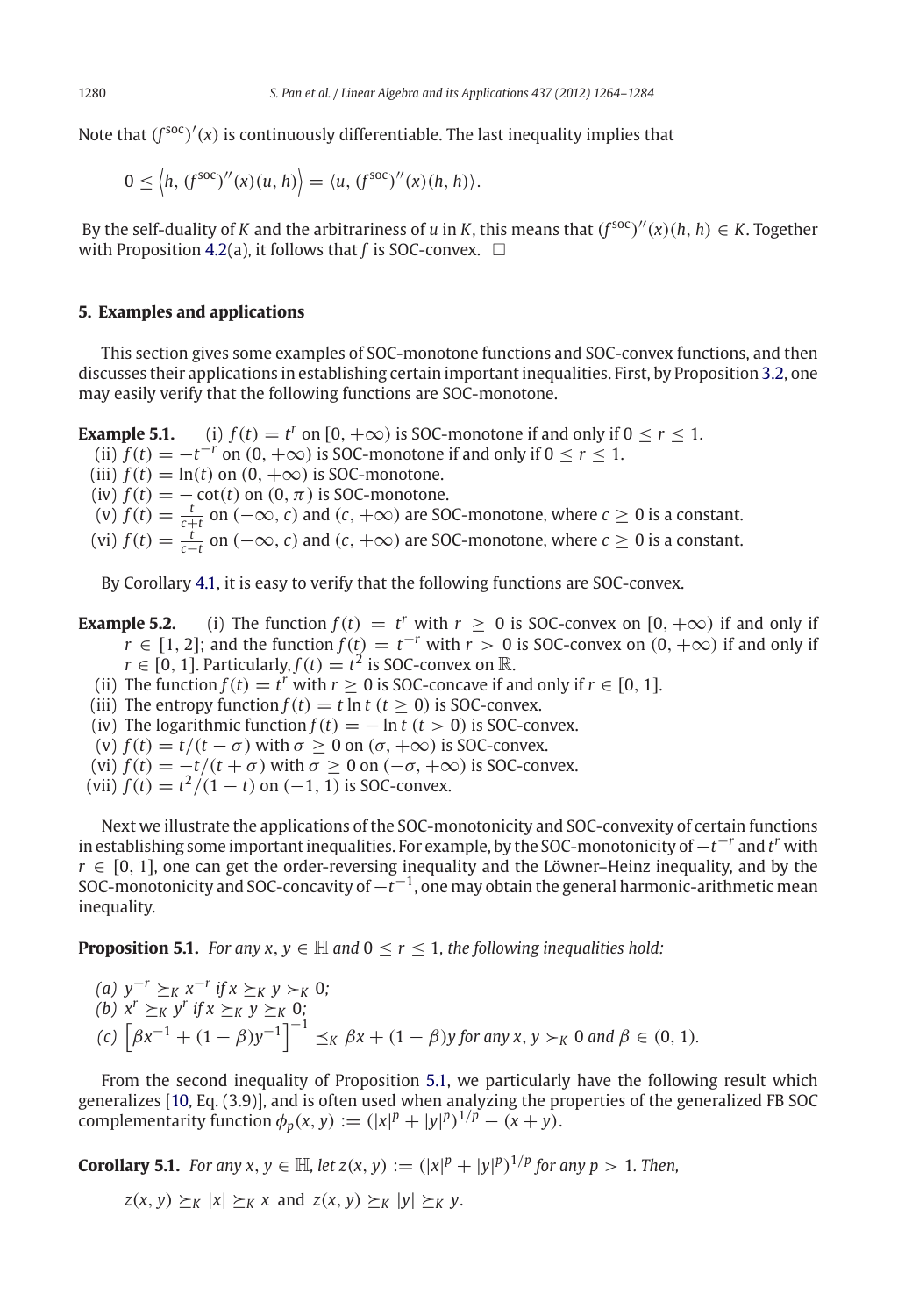Note that (*<sup>f</sup>* soc) (*x*) is continuously differentiable. The last inequality implies that

$$
0 \leq \langle h, (f^{\text{soc}})''(x)(u, h) \rangle = \langle u, (f^{\text{soc}})''(x)(h, h) \rangle.
$$

By the self-duality of *K* and the arbitrariness of *u* in *K*, this means that  $(f^{soc})''(x)(h, h) \in K$ . Together with Proposition [4.2\(](#page-12-0)a), it follows that  $f$  is SOC-convex.  $\Box$ 

## **5. Examples and applications**

<span id="page-16-0"></span>This section gives some examples of SOC-monotone functions and SOC-convex functions, and then discusses their applications in establishing certain important inequalities. First, by Proposition [3.2,](#page-7-0) one may easily verify that the following functions are SOC-monotone.

**Example 5.1.** (i)  $f(t) = t^r$  on  $[0, +\infty)$  is SOC-monotone if and only if  $0 \le r \le 1$ . (ii)  $f(t) = -t^{-r}$  on  $(0, +\infty)$  is SOC-monotone if and only if  $0 \le r \le 1$ . (iii)  $f(t) = \ln(t)$  on  $(0, +\infty)$  is SOC-monotone. (iv)  $f(t) = -\cot(t)$  on  $(0, \pi)$  is SOC-monotone. (v)  $f(t) = \frac{t}{c+t}$  on  $(-\infty, c)$  and  $(c, +\infty)$  are SOC-monotone, where  $c \ge 0$  is a constant. (vi)  $f(t) = \frac{t}{c-t}$  on  $(-\infty, c)$  and  $(c, +\infty)$  are SOC-monotone, where  $c \ge 0$  is a constant.

By Corollary [4.1,](#page-14-0) it is easy to verify that the following functions are SOC-convex.

- <span id="page-16-2"></span>**Example 5.2.** (i) The function  $f(t) = t^r$  with  $r \ge 0$  is SOC-convex on  $[0, +\infty)$  if and only if *r* ∈ [1, 2]; and the function  $f(t) = t^{-r}$  with  $r > 0$  is SOC-convex on  $(0, +\infty)$  if and only if  $r \in [0, 1]$ . Particularly,  $f(t) = t^2$  is SOC-convex on R.
	- (ii) The function  $f(t) = t^r$  with  $r \ge 0$  is SOC-concave if and only if  $r \in [0, 1]$ .
	- (iii) The entropy function  $f(t) = t \ln t$  ( $t > 0$ ) is SOC-convex.
	- (iv) The logarithmic function  $f(t) = -\ln t$  ( $t > 0$ ) is SOC-convex.
	- (v)  $f(t) = t/(t \sigma)$  with  $\sigma \ge 0$  on  $(\sigma, +\infty)$  is SOC-convex.
	- (vi)  $f(t) = -t/(t + \sigma)$  with  $\sigma \ge 0$  on  $(-\sigma, +\infty)$  is SOC-convex.
- (vii)  $f(t) = t^2/(1-t)$  on  $(-1, 1)$  is SOC-convex.

Next we illustrate the applications of the SOC-monotonicity and SOC-convexity of certain functions in establishing some important inequalities. For example, by the SOC-monotonicity of−*t* <sup>−</sup>*<sup>r</sup>* and *t <sup>r</sup>* with  $r \in [0, 1]$ , one can get the order-reversing inequality and the Löwner–Heinz inequality, and by the SOC-monotonicity and SOC-concavity of−*t* <sup>−</sup>1, one may obtain the general harmonic-arithmetic mean inequality.

<span id="page-16-1"></span>**Proposition 5.1.** *For any x, y*  $\in \mathbb{H}$  *and*  $0 \le r \le 1$ *, the following inequalities hold:* 

(a) 
$$
y^{-r} \ge_K x^{-r}
$$
 if  $x \ge_K y >_K 0$ ;  
\n(b)  $x^r \ge_K y^r$  if  $x \ge_K y \ge_K 0$ ;  
\n(c)  $\left[ \beta x^{-1} + (1 - \beta)y^{-1} \right]^{-1} \le_K \beta x + (1 - \beta)y$  for any  $x, y >_K 0$  and  $\beta \in (0, 1)$ .

From the second inequality of Proposition [5.1,](#page-16-1) we particularly have the following result which generalizes [\[10,](#page-20-21) Eq. (3.9)], and is often used when analyzing the properties of the generalized FB SOC complementarity function  $\phi_p(x, y) := (|x|^p + |y|^p)^{1/p} - (x + y)$ .

**Corollary 5.1.** *For any x, y*  $\in$  H, let  $z(x, y) := (|x|^p + |y|^p)^{1/p}$  for any  $p > 1$ . Then,

 $z(x, y) \succ_K |x| \succ_K x$  and  $z(x, y) \succ_K |y| \succ_K y$ .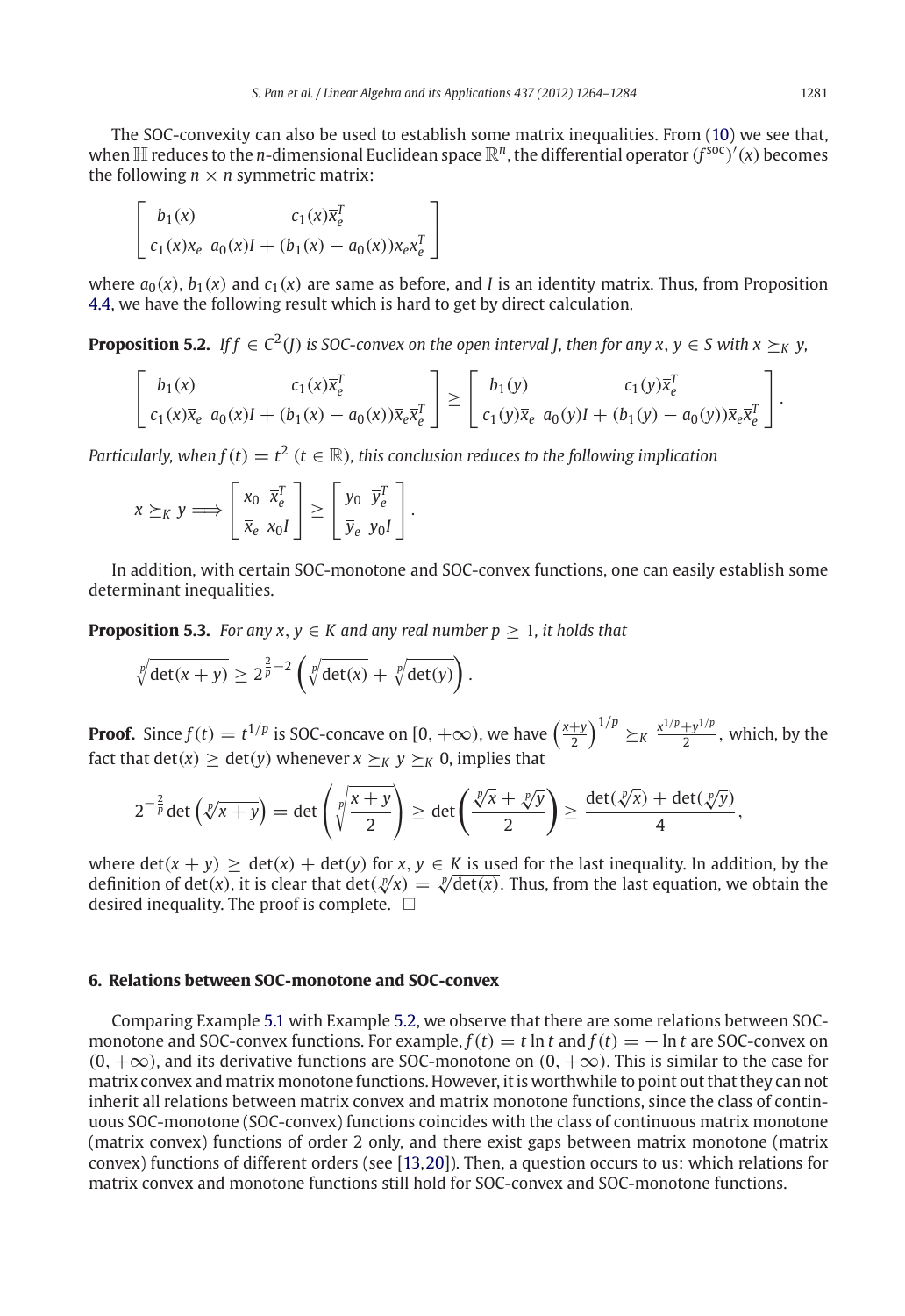The SOC-convexity can also be used to establish some matrix inequalities. From [\(10\)](#page-4-1) we see that, when  $\mathbb H$  reduces to the  $n$ -dimensional Euclidean space  $\mathbb R^n$ , the differential operator  $(f^{\rm soc})'(x)$  becomes the following  $n \times n$  symmetric matrix:

$$
\begin{bmatrix} b_1(x) & c_1(x)\overline{x}_e^T\\ c_1(x)\overline{x}_e & a_0(x)I + (b_1(x) - a_0(x))\overline{x}_e\overline{x}_e^T \end{bmatrix}
$$

where  $a_0(x)$ ,  $b_1(x)$  and  $c_1(x)$  are same as before, and *I* is an identity matrix. Thus, from Proposition [4.4,](#page-15-0) we have the following result which is hard to get by direct calculation.

**Proposition 5.2.** *If f*  $\in C^2(I)$  *is SOC-convex on the open interval I, then for any x, y*  $\in$  *S with x*  $\succ_K$  *y,* 

$$
\begin{bmatrix} b_1(x) & c_1(x)\overline{x}_{e}^{T} \\ c_1(x)\overline{x}_{e} & a_0(x)I + (b_1(x) - a_0(x))\overline{x}_{e}\overline{x}_{e}^{T} \end{bmatrix} \geq \begin{bmatrix} b_1(y) & c_1(y)\overline{x}_{e}^{T} \\ c_1(y)\overline{x}_{e} & a_0(y)I + (b_1(y) - a_0(y))\overline{x}_{e}\overline{x}_{e}^{T} \end{bmatrix}.
$$

*Particularly, when f* (*t*)  $=t^2$  (*t*  $\in \mathbb{R}$ )*, this conclusion reduces to the following implication* 

$$
x \succeq_K y \Longrightarrow \begin{bmatrix} x_0 & \bar{x}_e^T \\ \bar{x}_e & x_0 I \end{bmatrix} \geq \begin{bmatrix} y_0 & \bar{y}_e^T \\ \bar{y}_e & y_0 I \end{bmatrix}.
$$

In addition, with certain SOC-monotone and SOC-convex functions, one can easily establish some determinant inequalities.

**Proposition 5.3.** *For any x, y*  $\in$  *K and any real number p*  $> 1$ *, it holds that* 

$$
\sqrt[p]{\det(x+y)} \geq 2^{\frac{2}{p}-2}\left(\sqrt[p]{\det(x)} + \sqrt[p]{\det(y)}\right).
$$

**Proof.** Since  $f(t) = t^{1/p}$  is SOC-concave on  $[0, +\infty)$ , we have  $\left(\frac{x+y}{2}\right)^{1/p} \geq_K \frac{x^{1/p} + y^{1/p}}{2}$ , which, by the fact that  $det(x) > det(y)$  whenever  $x \succ_K y \succ_K 0$ , implies that

$$
2^{-\frac{2}{p}}\det\left(\sqrt[p]{x+y}\right)=\det\left(\sqrt[p]{\frac{x+y}{2}}\right)\geq \det\left(\frac{\sqrt[p]{x}+\sqrt[p]{y}}{2}\right)\geq \frac{\det(\sqrt[p]{x})+ \det(\sqrt[p]{y})}{4},
$$

where  $\det(x + y) > \det(x) + \det(y)$  for *x*,  $y \in K$  is used for the last inequality. In addition, by the where det( $x + y$ )  $\geq$  det( $x$ ) + det( $y$ ) for  $x, y \in K$  is used for the last inequality. In addition, by the definition of det( $x$ ), it is clear that det( $\sqrt[p]{x}$ ) =  $\sqrt[p]{\det(x)}$ . Thus, from the last equation, we obtain the desired inequality. The proof is complete.  $\;\;\Box$ 

# **6. Relations between SOC-monotone and SOC-convex**

<span id="page-17-0"></span>Comparing Example [5.1](#page-16-0) with Example [5.2,](#page-16-2) we observe that there are some relations between SOCmonotone and SOC-convex functions. For example,  $f(t) = t \ln t$  and  $f(t) = - \ln t$  are SOC-convex on  $(0, +\infty)$ , and its derivative functions are SOC-monotone on  $(0, +\infty)$ . This is similar to the case for matrix convex and matrix monotone functions. However, it is worthwhile to point out that they can not inherit all relations between matrix convex and matrix monotone functions, since the class of continuous SOC-monotone (SOC-convex) functions coincides with the class of continuous matrix monotone (matrix convex) functions of order 2 only, and there exist gaps between matrix monotone (matrix convex) functions of different orders (see [\[13](#page-20-15)[,20\]](#page-20-18)). Then, a question occurs to us: which relations for matrix convex and monotone functions still hold for SOC-convex and SOC-monotone functions.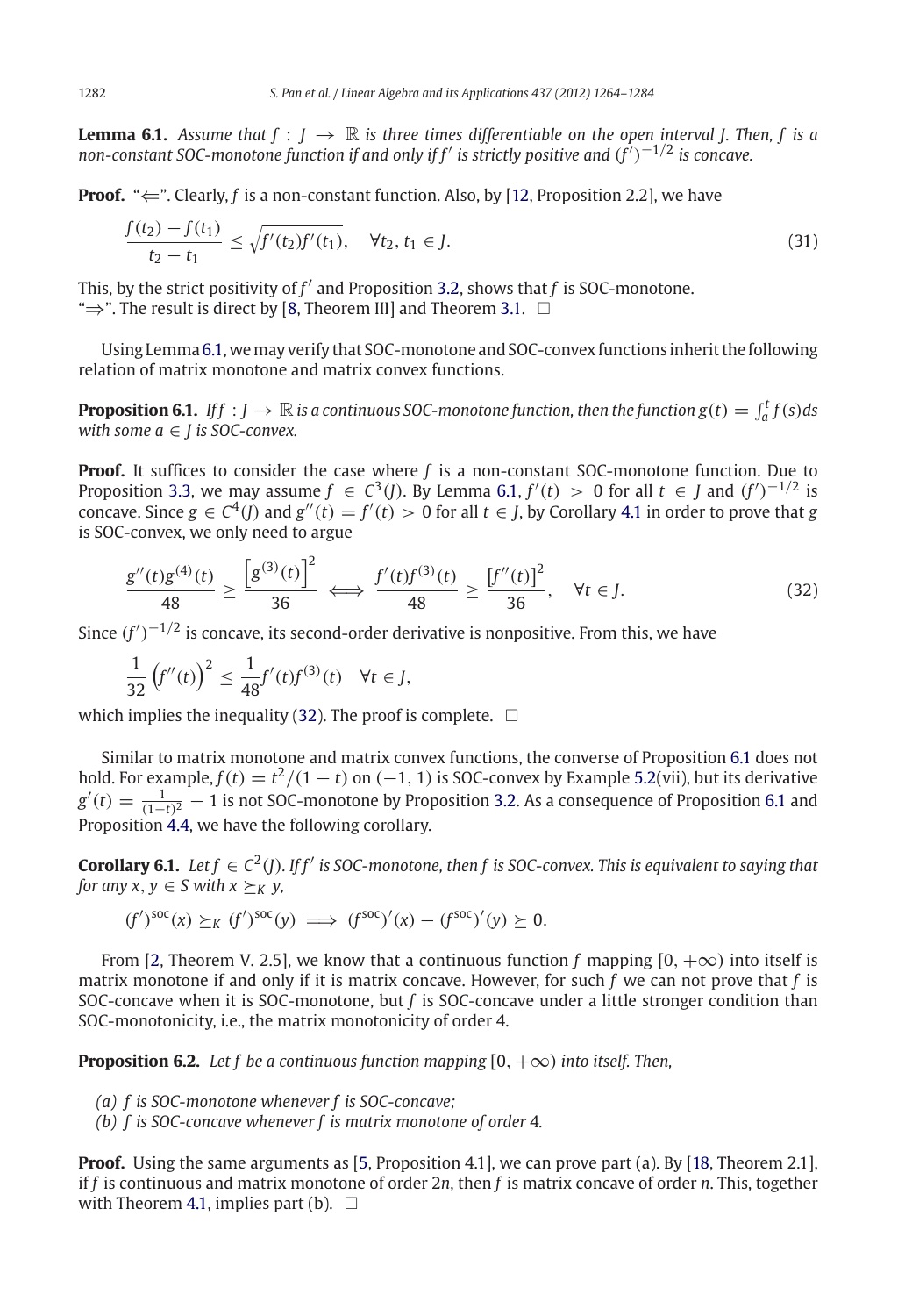**Lemma 6.1.** *Assume that*  $f : J \to \mathbb{R}$  *is three times differentiable on the open interval J. Then, f is a non-constant SOC-monotone function if and only if f is strictly positive and* (*<sup>f</sup>* )−1/<sup>2</sup> *is concave.*

**Proof.** " $\Leftarrow$ ". Clearly, f is a non-constant function. Also, by [\[12,](#page-20-16) Proposition 2.2], we have

$$
\frac{f(t_2) - f(t_1)}{t_2 - t_1} \le \sqrt{f'(t_2)f'(t_1)}, \quad \forall t_2, t_1 \in J.
$$
\n(31)

This, by the strict positivity of  $f'$  and Proposition [3.2,](#page-7-0) shows that  $f$  is SOC-monotone. " $\Rightarrow$ ". The result is direct by [\[8,](#page-20-13) Theorem III] and Theorem [3.1.](#page-9-1)  $\Box$ 

<span id="page-18-1"></span>Using Lemma[6.1,](#page-17-0)wemay verify that SOC-monotone and SOC-convex functions inherit the following relation of matrix monotone and matrix convex functions.

**Proposition 6.1.** *Iff* : *J*  $\rightarrow \mathbb{R}$  is a continuous SOC-monotone function, then the function  $g(t) = \int_a^t f(s) ds$ *with some a* ∈ *J is SOC-convex.*

**Proof.** It suffices to consider the case where *f* is a non-constant SOC-monotone function. Due to Proposition [3.3,](#page-8-0) we may assume  $f \in C^3(J)$ . By Lemma [6.1,](#page-17-0)  $f'(t) > 0$  for all  $t \in J$  and  $(f')^{-1/2}$  is concave. Since  $g \in C^4(\tilde{I})$  and  $g''(t) = f'(t) > 0$  for all  $t \in J$ , by Corollary [4.1](#page-14-0) in order to prove that *g* is SOC-convex, we only need to argue

$$
\frac{g''(t)g^{(4)}(t)}{48} \ge \frac{\left[g^{(3)}(t)\right]^2}{36} \iff \frac{f'(t)f^{(3)}(t)}{48} \ge \frac{\left[f''(t)\right]^2}{36}, \quad \forall t \in J.
$$
\n(32)

Since  $(f')^{-1/2}$  is concave, its second-order derivative is nonpositive. From this, we have

$$
\frac{1}{32}\left(f''(t)\right)^2 \le \frac{1}{48}f'(t)f^{(3)}(t) \quad \forall t \in J,
$$

which implies the inequality [\(32\)](#page-18-1). The proof is complete.  $\;\;\Box$ 

Similar to matrix monotone and matrix convex functions, the converse of Proposition [6.1](#page-18-1) does not hold. For example,  $f(t) = t^2/(1-t)$  on  $(-1, 1)$  is SOC-convex by Example [5.2\(](#page-16-2)vii), but its derivative  $g'(t) = \frac{1}{(1-t)^2} - 1$  is not SOC-monotone by Proposition [3.2.](#page-7-0) As a consequence of Proposition [6.1](#page-18-1) and Proposition [4.4,](#page-15-0) we have the following corollary.

**Corollary 6.1.** *Let*  $f \in C^2(I)$ *.* If  $f'$  is SOC-monotone, then f is SOC-convex. This is equivalent to saying that *for any x, y*  $\in$  *S with x*  $\succ_K$  *y*,

 $(f')^{soc}(x) \succeq_K (f')^{soc}(y) \implies (f^{soc})'(x) - (f^{soc})'(y) \ge 0.$ 

From [\[2,](#page-20-6) Theorem V. 2.5], we know that a continuous function f mapping  $[0, +\infty)$  into itself is matrix monotone if and only if it is matrix concave. However, for such *f* we can not prove that *f* is SOC-concave when it is SOC-monotone, but *f* is SOC-concave under a little stronger condition than SOC-monotonicity, i.e., the matrix monotonicity of order 4.

<span id="page-18-0"></span>**Proposition 6.2.** *Let f be a continuous function mapping*  $[0, +\infty)$  *into itself. Then,* 

- *(a) f is SOC-monotone whenever f is SOC-concave;*
- *(b) f is SOC-concave whenever f is matrix monotone of order* 4*.*

**Proof.** Using the same arguments as [\[5](#page-20-1), Proposition 4.1], we can prove part (a). By [\[18,](#page-20-22) Theorem 2.1], if *f* is continuous and matrix monotone of order 2*n*, then *f* is matrix concave of order *n*. This, together with Theorem [4.1,](#page-15-2) implies part (b).  $\Box$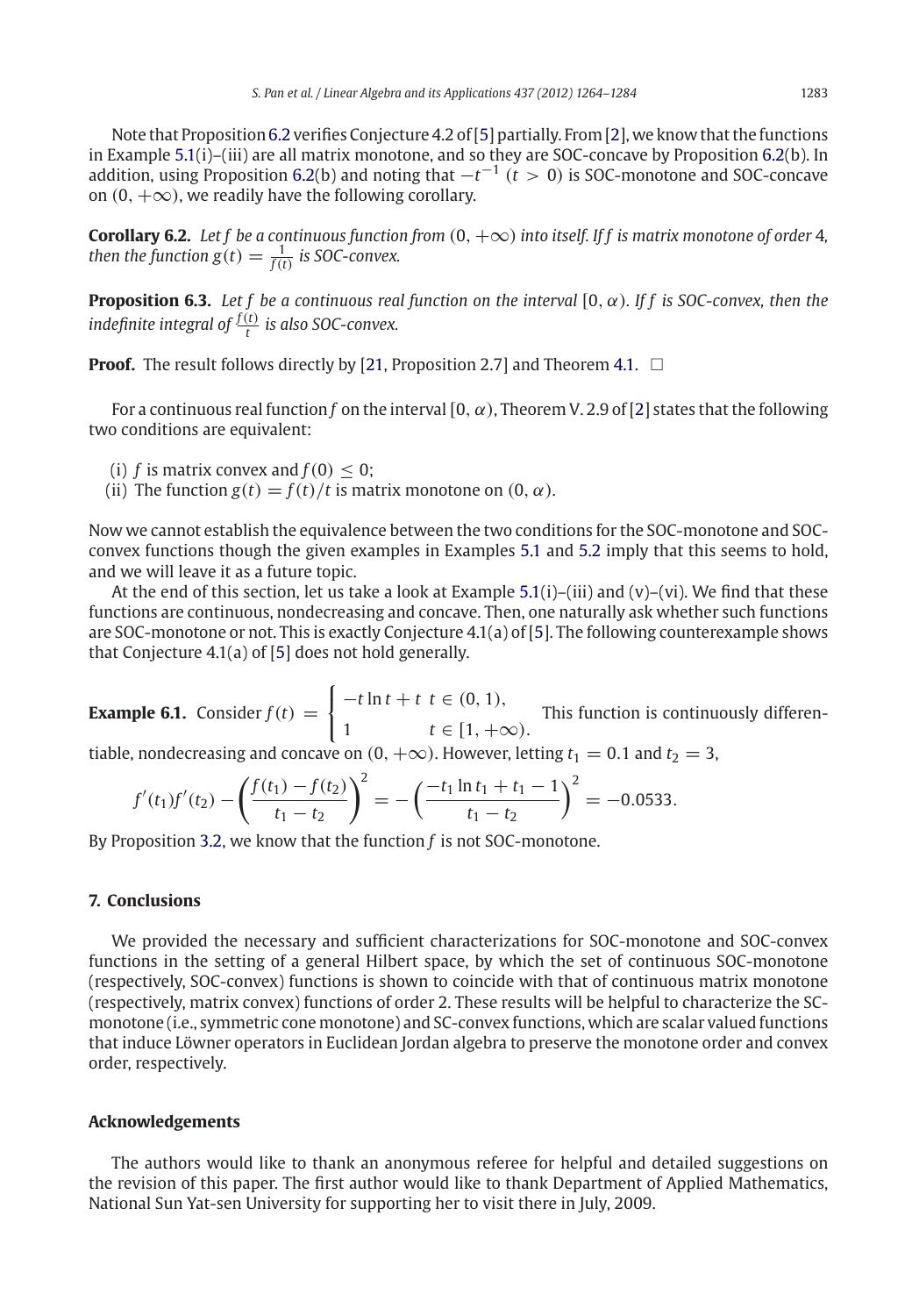Note that Proposition [6.2](#page-18-0) verifies Conjecture 4.2 of [\[5\]](#page-20-1) partially. From [\[2\]](#page-20-6), we know that the functions in Example [5.1\(](#page-16-0)i)–(iii) are all matrix monotone, and so they are SOC-concave by Proposition [6.2\(](#page-18-0)b). In addition, using Proposition [6.2\(](#page-18-0)b) and noting that  $-t^{-1}$  ( $t > 0$ ) is SOC-monotone and SOC-concave on  $(0, +\infty)$ , we readily have the following corollary.

**Corollary 6.2.** *Let f be a continuous function from* (0, +∞) *into itself. If f is matrix monotone of order* 4*, then the function g*(*t*)  $=$   $\frac{1}{f(t)}$  *is SOC-convex.* 

**Proposition 6.3.** *Let f be a continuous real function on the interval* [0, α)*. If f is SOC-convex, then the indefinite integral of*  $\frac{f(t)}{t}$  *is also SOC-convex.* 

**Proof.** The result follows directly by [\[21,](#page-20-17) Proposition 2.7] and Theorem [4.1.](#page-15-2)  $\Box$ 

For a continuous real function *f* on the interval  $[0, \alpha)$ , Theorem V. 2.9 of [\[2](#page-20-6)] states that the following two conditions are equivalent:

- (i)  $f$  is matrix convex and  $f(0) \leq 0$ ;
- (ii) The function  $g(t) = f(t)/t$  is matrix monotone on  $(0, \alpha)$ .

Now we cannot establish the equivalence between the two conditions for the SOC-monotone and SOCconvex functions though the given examples in Examples [5.1](#page-16-0) and [5.2](#page-16-2) imply that this seems to hold, and we will leave it as a future topic.

At the end of this section, let us take a look at Example  $5.1(i)-(iii)$  $5.1(i)-(iii)$  and  $(v)-(vi)$ . We find that these functions are continuous, nondecreasing and concave. Then, one naturally ask whether such functions are SOC-monotone or not. This is exactly Conjecture 4.1(a) of [\[5](#page-20-1)]. The following counterexample shows that Conjecture 4.1(a) of [\[5](#page-20-1)] does not hold generally.

**Example 6.1.** Consider  $f(t)$  =  $\int$  $\mathsf{I}$  $-t \ln t + t \ t \in (0, 1),$ 1 **t** ∈ [1, +∞). This function is continuously differen-

tiable, nondecreasing and concave on  $(0, +\infty)$ . However, letting  $t_1 = 0.1$  and  $t_2 = 3$ ,

$$
f'(t_1)f'(t_2) - \left(\frac{f(t_1) - f(t_2)}{t_1 - t_2}\right)^2 = -\left(\frac{-t_1 \ln t_1 + t_1 - 1}{t_1 - t_2}\right)^2 = -0.0533.
$$

By Proposition [3.2,](#page-7-0) we know that the function *f* is not SOC-monotone.

# **7. Conclusions**

We provided the necessary and sufficient characterizations for SOC-monotone and SOC-convex functions in the setting of a general Hilbert space, by which the set of continuous SOC-monotone (respectively, SOC-convex) functions is shown to coincide with that of continuous matrix monotone (respectively, matrix convex) functions of order 2. These results will be helpful to characterize the SCmonotone (i.e., symmetric cone monotone) and SC-convex functions, which are scalar valued functions that induce Löwner operators in Euclidean Jordan algebra to preserve the monotone order and convex order, respectively.

#### **Acknowledgements**

The authors would like to thank an anonymous referee for helpful and detailed suggestions on the revision of this paper. The first author would like to thank Department of Applied Mathematics, National Sun Yat-sen University for supporting her to visit there in July, 2009.